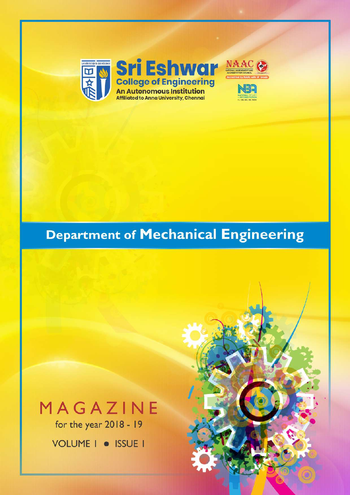

# **Department of Mechanical Engineering**

# MAGAZINE

for the year 2018 - 19

VOLUME | · ISSUE |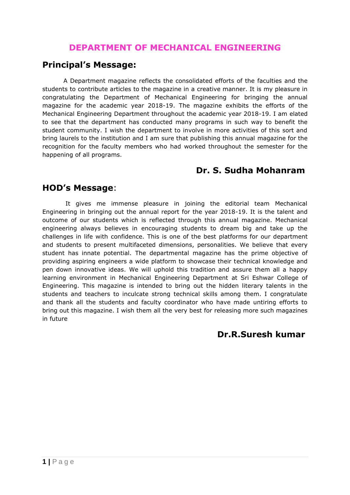## **DEPARTMENT OF MECHANICAL ENGINEERING**

### **Principal's Message:**

A Department magazine reflects the consolidated efforts of the faculties and the students to contribute articles to the magazine in a creative manner. It is my pleasure in congratulating the Department of Mechanical Engineering for bringing the annual magazine for the academic year 2018-19. The magazine exhibits the efforts of the Mechanical Engineering Department throughout the academic year 2018-19. I am elated to see that the department has conducted many programs in such way to benefit the student community. I wish the department to involve in more activities of this sort and bring laurels to the institution and I am sure that publishing this annual magazine for the recognition for the faculty members who had worked throughout the semester for the happening of all programs.

### **Dr. S. Sudha Mohanram**

### **HOD's Message**:

It gives me immense pleasure in joining the editorial team Mechanical Engineering in bringing out the annual report for the year 2018-19. It is the talent and outcome of our students which is reflected through this annual magazine. Mechanical engineering always believes in encouraging students to dream big and take up the challenges in life with confidence. This is one of the best platforms for our department and students to present multifaceted dimensions, personalities. We believe that every student has innate potential. The departmental magazine has the prime objective of providing aspiring engineers a wide platform to showcase their technical knowledge and pen down innovative ideas. We will uphold this tradition and assure them all a happy learning environment in Mechanical Engineering Department at Sri Eshwar College of Engineering. This magazine is intended to bring out the hidden literary talents in the students and teachers to inculcate strong technical skills among them. I congratulate and thank all the students and faculty coordinator who have made untiring efforts to bring out this magazine. I wish them all the very best for releasing more such magazines in future

### **Dr.R.Suresh kumar**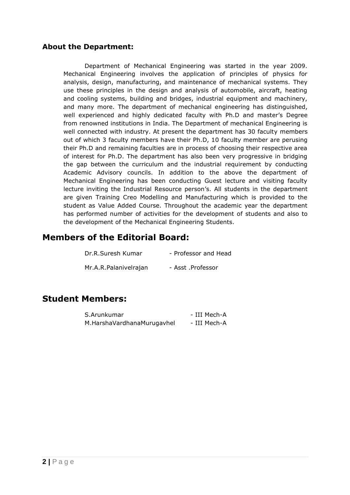#### **About the Department:**

Department of Mechanical Engineering was started in the year 2009. Mechanical Engineering involves the application of principles of physics for analysis, design, manufacturing, and maintenance of mechanical systems. They use these principles in the design and analysis of automobile, aircraft, heating and cooling systems, building and bridges, industrial equipment and machinery, and many more. The department of mechanical engineering has distinguished, well experienced and highly dedicated faculty with Ph.D and master's Degree from renowned institutions in India. The Department of mechanical Engineering is well connected with industry. At present the department has 30 faculty members out of which 3 faculty members have their Ph.D, 10 faculty member are perusing their Ph.D and remaining faculties are in process of choosing their respective area of interest for Ph.D. The department has also been very progressive in bridging the gap between the curriculum and the industrial requirement by conducting Academic Advisory councils. In addition to the above the department of Mechanical Engineering has been conducting Guest lecture and visiting faculty lecture inviting the Industrial Resource person's. All students in the department are given Training Creo Modelling and Manufacturing which is provided to the student as Value Added Course. Throughout the academic year the department has performed number of activities for the development of students and also to the development of the Mechanical Engineering Students.

### **Members of the Editorial Board:**

| Dr.R.Suresh Kumar     | - Professor and Head |
|-----------------------|----------------------|
| Mr.A.R.Palanivelrajan | - Asst .Professor    |

### **Student Members:**

| S.Arunkumar                | - III Mech-A |
|----------------------------|--------------|
| M.HarshaVardhanaMurugavhel | - III Mech-A |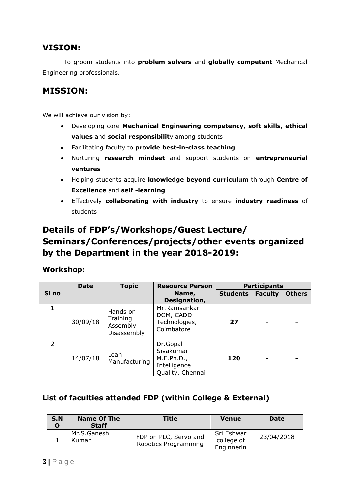# **VISION:**

To groom students into **problem solvers** and **globally competent** Mechanical Engineering professionals.

# **MISSION:**

We will achieve our vision by:

- Developing core **Mechanical Engineering competency**, **soft skills, ethical values** and **social responsibilit**y among students
- Facilitating faculty to **provide best-in-class teaching**
- Nurturing **research mindset** and support students on **entrepreneurial ventures**
- Helping students acquire **knowledge beyond curriculum** through **Centre of Excellence** and **self -learning**
- Effectively **collaborating with industry** to ensure **industry readiness** of students

# **Details of FDP's/Workshops/Guest Lecture/ Seminars/Conferences/projects/other events organized by the Department in the year 2018-2019:**

#### **Workshop:**

|               | <b>Date</b> | <b>Topic</b>                                    | <b>Resource Person</b>                                                  |                 | <b>Participants</b> |               |
|---------------|-------------|-------------------------------------------------|-------------------------------------------------------------------------|-----------------|---------------------|---------------|
| SI no         |             |                                                 | Name,<br>Designation,                                                   | <b>Students</b> | <b>Faculty</b>      | <b>Others</b> |
|               | 30/09/18    | Hands on<br>Training<br>Assembly<br>Disassembly | Mr.Ramsankar<br>DGM, CADD<br>Technologies,<br>Coimbatore                | 27              | $\blacksquare$      |               |
| $\mathcal{P}$ | 14/07/18    | Lean<br>Manufacturing                           | Dr.Gopal<br>Sivakumar<br>M.E.Ph.D.,<br>Intelligence<br>Quality, Chennai | 120             | $\blacksquare$      |               |

#### **List of faculties attended FDP (within College & External)**

| S.N<br>O | <b>Name Of The</b><br><b>Staff</b> | Title                                         | <b>Venue</b>                           | Date       |
|----------|------------------------------------|-----------------------------------------------|----------------------------------------|------------|
|          | Mr.S.Ganesh<br>Kumar               | FDP on PLC, Servo and<br>Robotics Programming | Sri Eshwar<br>college of<br>Enginnerin | 23/04/2018 |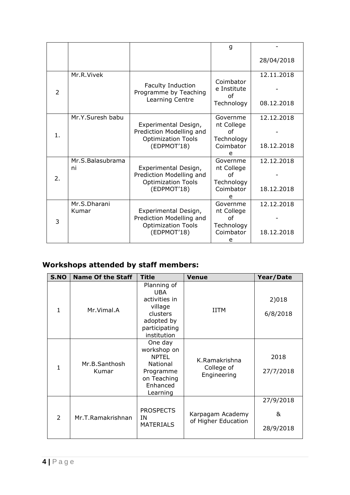|    |                        |                                                                                              | g                                                            |                          |
|----|------------------------|----------------------------------------------------------------------------------------------|--------------------------------------------------------------|--------------------------|
|    |                        |                                                                                              |                                                              | 28/04/2018               |
| 2  | Mr.R.Vivek             | Faculty Induction<br>Programme by Teaching<br>Learning Centre                                | Coimbator<br>e Institute<br>Ωf<br>Technology                 | 12.11.2018<br>08.12.2018 |
| 1. | Mr.Y.Suresh babu       | Experimental Design,<br>Prediction Modelling and<br><b>Optimization Tools</b><br>(EDPMOT'18) | Governme<br>nt College<br>Ωf<br>Technology<br>Coimbator<br>e | 12.12.2018<br>18.12.2018 |
| 2. | Mr.S.Balasubrama<br>ni | Experimental Design,<br>Prediction Modelling and<br><b>Optimization Tools</b><br>(EDPMOT'18) | Governme<br>nt College<br>Ωf<br>Technology<br>Coimbator<br>e | 12.12.2018<br>18.12.2018 |
| 3  | Mr.S.Dharani<br>Kumar  | Experimental Design,<br>Prediction Modelling and<br><b>Optimization Tools</b><br>(EDPMOT'18) | Governme<br>nt College<br>Ωf<br>Technology<br>Coimbator<br>е | 12.12.2018<br>18.12.2018 |

# **Workshops attended by staff members:**

| S.NO          | <b>Name Of the Staff</b> | <b>Title</b>                                                                                                    | <b>Venue</b>                               | Year/Date                   |
|---------------|--------------------------|-----------------------------------------------------------------------------------------------------------------|--------------------------------------------|-----------------------------|
| $\mathbf{1}$  | Mr.Vimal.A               | Planning of<br><b>UBA</b><br>activities in<br>village<br>clusters<br>adopted by<br>participating<br>institution | <b>IITM</b>                                | 2)018<br>6/8/2018           |
| 1             | Mr.B.Santhosh<br>Kumar   | One day<br>workshop on<br><b>NPTEL</b><br><b>National</b><br>Programme<br>on Teaching<br>Enhanced<br>Learning   | K.Ramakrishna<br>College of<br>Engineering | 2018<br>27/7/2018           |
| $\mathcal{P}$ | Mr.T.Ramakrishnan        | <b>PROSPECTS</b><br>ΙN<br><b>MATERIALS</b>                                                                      | Karpagam Academy<br>of Higher Education    | 27/9/2018<br>&<br>28/9/2018 |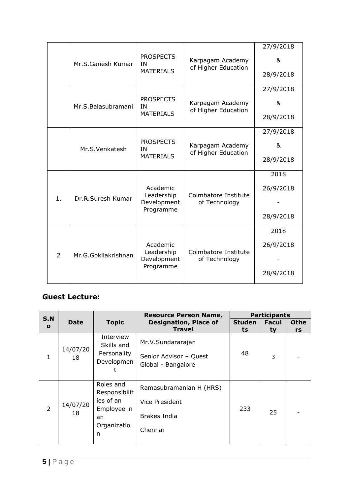|                | <b>PROSPECTS</b><br>Karpagam Academy |                        |                                         | 27/9/2018<br>& |
|----------------|--------------------------------------|------------------------|-----------------------------------------|----------------|
|                | Mr.S.Ganesh Kumar                    | ΙN<br><b>MATERIALS</b> | of Higher Education                     | 28/9/2018      |
|                |                                      | <b>PROSPECTS</b>       |                                         | 27/9/2018      |
|                | Mr.S.Balasubramani                   | IN<br><b>MATERIALS</b> | Karpagam Academy<br>of Higher Education | &              |
|                |                                      |                        |                                         | 28/9/2018      |
|                |                                      |                        |                                         | 27/9/2018      |
|                | Mr.S.Venkatesh                       | <b>PROSPECTS</b><br>ΙN | Karpagam Academy<br>of Higher Education | &              |
|                |                                      | <b>MATERIALS</b>       |                                         | 28/9/2018      |
|                |                                      |                        |                                         | 2018           |
|                |                                      | Academic<br>Leadership | Coimbatore Institute<br>of Technology   | 26/9/2018      |
| 1.             | Dr.R.Suresh Kumar                    | Development            |                                         |                |
|                |                                      | Programme              |                                         | 28/9/2018      |
|                |                                      |                        |                                         | 2018           |
|                |                                      | Academic<br>Leadership | Coimbatore Institute                    | 26/9/2018      |
| $\overline{2}$ | Mr.G.Gokilakrishnan                  | Development            | of Technology                           |                |
|                |                                      | Programme              |                                         | 28/9/2018      |
|                |                                      |                        |                                         |                |

### **Guest Lecture:**

| <b>S.N</b>     |                |                                                                                  | <b>Resource Person Name,</b>                                         |                     | <b>Participants</b> |                   |
|----------------|----------------|----------------------------------------------------------------------------------|----------------------------------------------------------------------|---------------------|---------------------|-------------------|
| $\mathbf{o}$   | <b>Date</b>    | <b>Topic</b>                                                                     | <b>Designation, Place of</b><br><b>Travel</b>                        | <b>Studen</b><br>ts | <b>Facul</b><br>ty  | <b>Othe</b><br>rs |
| 1              | 14/07/20<br>18 | Interview<br>Skills and<br>Personality<br>Developmen                             | Mr.V.Sundararajan<br>Senior Advisor - Quest<br>Global - Bangalore    | 48                  | 3                   |                   |
| $\overline{2}$ | 14/07/20<br>18 | Roles and<br>Responsibilit<br>ies of an<br>Employee in<br>an<br>Organizatio<br>n | Ramasubramanian H (HRS)<br>Vice President<br>Brakes India<br>Chennai | 233                 | 25                  |                   |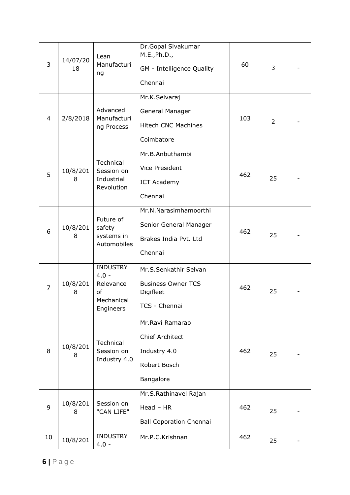| 3              | 14/07/20<br>18 | Lean<br>Manufacturi<br>ng                                                | Dr.Gopal Sivakumar<br>M.E., Ph.D.,<br>GM - Intelligence Quality<br>Chennai             | 60  | 3              |  |
|----------------|----------------|--------------------------------------------------------------------------|----------------------------------------------------------------------------------------|-----|----------------|--|
| 4              | 2/8/2018       | Advanced<br>Manufacturi<br>ng Process                                    | Mr.K.Selvaraj<br>General Manager<br><b>Hitech CNC Machines</b><br>Coimbatore           | 103 | $\overline{2}$ |  |
| 5              | 10/8/201<br>8  | Technical<br>Session on<br>Industrial<br>Revolution                      | Mr.B.Anbuthambi<br><b>Vice President</b><br><b>ICT Academy</b><br>Chennai              | 462 | 25             |  |
| 6              | 10/8/201<br>8  | Future of<br>safety<br>systems in<br>Automobiles                         | Mr.N.Narasimhamoorthi<br>Senior General Manager<br>Brakes India Pvt. Ltd<br>Chennai    | 462 | 25             |  |
| $\overline{7}$ | 10/8/201<br>8  | <b>INDUSTRY</b><br>$4.0 -$<br>Relevance<br>of<br>Mechanical<br>Engineers | Mr.S.Senkathir Selvan<br><b>Business Owner TCS</b><br>Digifleet<br>TCS - Chennai       | 462 | 25             |  |
| 8              | 10/8/201<br>8  | Technical<br>Session on<br>Industry 4.0                                  | Mr.Ravi Ramarao<br><b>Chief Architect</b><br>Industry 4.0<br>Robert Bosch<br>Bangalore | 462 | 25             |  |
| 9              | 10/8/201<br>8  | Session on<br>"CAN LIFE"                                                 | Mr.S.Rathinavel Rajan<br>$Head - HR$<br><b>Ball Coporation Chennai</b>                 | 462 | 25             |  |
| 10             | 10/8/201       | <b>INDUSTRY</b><br>$4.0 -$                                               | Mr.P.C.Krishnan                                                                        | 462 | 25             |  |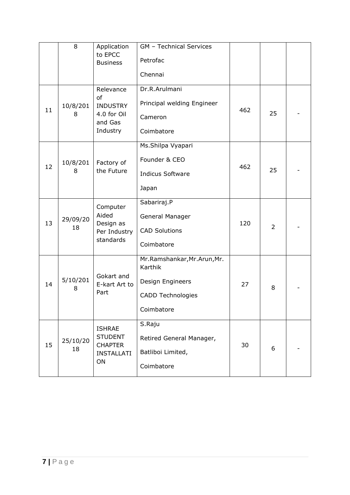|    | 8              | Application<br>to EPCC<br><b>Business</b>                                    | GM - Technical Services<br>Petrofac<br>Chennai                                                       |     |                |  |
|----|----------------|------------------------------------------------------------------------------|------------------------------------------------------------------------------------------------------|-----|----------------|--|
| 11 | 10/8/201<br>8  | Relevance<br>of<br><b>INDUSTRY</b><br>4.0 for Oil<br>and Gas<br>Industry     | Dr.R.Arulmani<br>Principal welding Engineer<br>Cameron<br>Coimbatore                                 | 462 | 25             |  |
| 12 | 10/8/201<br>8  | Factory of<br>the Future                                                     | Ms.Shilpa Vyapari<br>Founder & CEO<br><b>Indicus Software</b><br>Japan                               | 462 | 25             |  |
| 13 | 29/09/20<br>18 | Computer<br>Aided<br>Design as<br>Per Industry<br>standards                  | Sabariraj.P<br>General Manager<br><b>CAD Solutions</b><br>Coimbatore                                 | 120 | $\overline{2}$ |  |
| 14 | 5/10/201<br>8  | Gokart and<br>E-kart Art to<br>Part                                          | Mr.Ramshankar, Mr.Arun, Mr.<br>Karthik<br>Design Engineers<br><b>CADD Technologies</b><br>Coimbatore | 27  | 8              |  |
| 15 | 25/10/20<br>18 | <b>ISHRAE</b><br><b>STUDENT</b><br><b>CHAPTER</b><br><b>INSTALLATI</b><br>ON | S.Raju<br>Retired General Manager,<br>Batliboi Limited,<br>Coimbatore                                | 30  | 6              |  |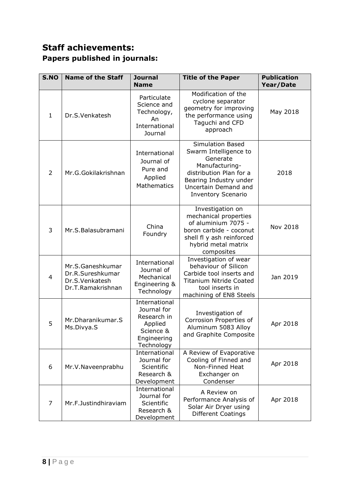# **Staff achievements: Papers published in journals:**

| <b>S.NO</b>    | <b>Name of the Staff</b>                                                    | <b>Journal</b><br><b>Name</b>                                                                    | <b>Title of the Paper</b>                                                                                                                                                                | <b>Publication</b><br>Year/Date |
|----------------|-----------------------------------------------------------------------------|--------------------------------------------------------------------------------------------------|------------------------------------------------------------------------------------------------------------------------------------------------------------------------------------------|---------------------------------|
| $\mathbf{1}$   | Dr.S.Venkatesh                                                              | Particulate<br>Science and<br>Technology,<br>An<br>International<br>Journal                      | Modification of the<br>cyclone separator<br>geometry for improving<br>the performance using<br>Taguchi and CFD<br>approach                                                               | May 2018                        |
| $\overline{2}$ | Mr.G.Gokilakrishnan                                                         | International<br>Journal of<br>Pure and<br>Applied<br><b>Mathematics</b>                         | <b>Simulation Based</b><br>Swarm Intelligence to<br>Generate<br>Manufacturing-<br>distribution Plan for a<br>Bearing Industry under<br>Uncertain Demand and<br><b>Inventory Scenario</b> | 2018                            |
| 3              | Mr.S.Balasubramani                                                          | China<br>Foundry                                                                                 | Investigation on<br>mechanical properties<br>of aluminium 7075 -<br>boron carbide - coconut<br>shell fl y ash reinforced<br>hybrid metal matrix<br>composites                            | Nov 2018                        |
| $\overline{4}$ | Mr.S.Ganeshkumar<br>Dr.R.Sureshkumar<br>Dr.S.Venkatesh<br>Dr.T.Ramakrishnan | International<br>Journal of<br>Mechanical<br>Engineering &<br>Technology                         | Investigation of wear<br>behaviour of Silicon<br>Carbide tool inserts and<br><b>Titanium Nitride Coated</b><br>tool inserts in<br>machining of EN8 Steels                                | Jan 2019                        |
| 5              | Mr.Dharanikumar.S<br>Ms.Divya.S                                             | International<br>Journal for<br>Research in<br>Applied<br>Science &<br>Engineering<br>Technology | Investigation of<br>Corrosion Properties of<br>Aluminum 5083 Alloy<br>and Graphite Composite                                                                                             | Apr 2018                        |
| 6              | Mr.V.Naveenprabhu                                                           | International<br>Journal for<br>Scientific<br>Research &<br>Development                          | A Review of Evaporative<br>Cooling of Finned and<br>Non-Finned Heat<br>Exchanger on<br>Condenser                                                                                         | Apr 2018                        |
| $\overline{7}$ | Mr.F.Justindhiraviam                                                        | International<br>Journal for<br>Scientific<br>Research &<br>Development                          | A Review on<br>Performance Analysis of<br>Solar Air Dryer using<br>Different Coatings                                                                                                    | Apr 2018                        |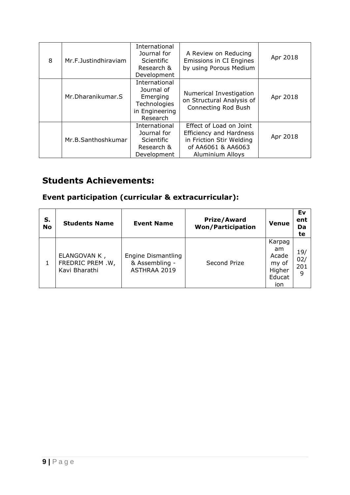| 8 | Mr.F.Justindhiraviam | International<br>Journal for<br><b>Scientific</b><br>Research &<br>Development        | A Review on Reducing<br>Emissions in CI Engines<br>by using Porous Medium                                                              | Apr 2018 |
|---|----------------------|---------------------------------------------------------------------------------------|----------------------------------------------------------------------------------------------------------------------------------------|----------|
|   | Mr. Dharanikumar. S  | International<br>Journal of<br>Emerging<br>Technologies<br>in Engineering<br>Research | Numerical Investigation<br>on Structural Analysis of<br><b>Connecting Rod Bush</b>                                                     | Apr 2018 |
|   | Mr.B.Santhoshkumar   | International<br>Journal for<br><b>Scientific</b><br>Research &<br>Development        | Effect of Load on Joint<br><b>Efficiency and Hardness</b><br>in Friction Stir Welding<br>of AA6061 & AA6063<br><b>Aluminium Alloys</b> | Apr 2018 |

# **Students Achievements:**

# **Event participation (curricular & extracurricular):**

| S.<br><b>No</b> | <b>Students Name</b>                              | <b>Event Name</b>                                           | <b>Prize/Award</b><br><b>Won/Participation</b> | <b>Venue</b>                                              | Ev<br>ent<br>Da<br>te  |
|-----------------|---------------------------------------------------|-------------------------------------------------------------|------------------------------------------------|-----------------------------------------------------------|------------------------|
| 1               | ELANGOVAN K,<br>FREDRIC PREM .W,<br>Kavi Bharathi | <b>Engine Dismantling</b><br>& Assembling -<br>ASTHRAA 2019 | Second Prize                                   | Karpag<br>am<br>Acade<br>my of<br>Higher<br>Educat<br>ion | 19/<br>02/<br>201<br>9 |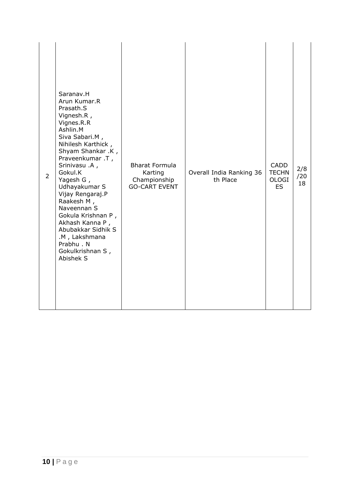| Saranav.H<br>Arun Kumar.R<br>Prasath.S<br>Vignesh.R,<br>Vignes.R.R<br>Ashlin.M<br>Siva Sabari.M,<br>Nihilesh Karthick,<br>Shyam Shankar .K,<br>Praveenkumar .T,<br><b>Bharat Formula</b><br><b>CADD</b><br>Srinivasu .A,<br>2/8<br>Gokul.K<br>Overall India Ranking 36<br><b>TECHN</b><br>Karting<br>$\overline{2}$<br>/20<br>th Place<br>Championship<br><b>OLOGI</b><br>Yagesh G,<br>18<br>Udhayakumar S<br><b>GO-CART EVENT</b><br>ES.<br>Vijay Rengaraj.P<br>Raakesh M,<br>Naveennan S<br>Gokula Krishnan P,<br>Akhash Kanna P,<br>Abubakkar Sidhik S<br>.M, Lakshmana<br>Prabhu. N<br>Gokulkrishnan S,<br>Abishek S |
|--------------------------------------------------------------------------------------------------------------------------------------------------------------------------------------------------------------------------------------------------------------------------------------------------------------------------------------------------------------------------------------------------------------------------------------------------------------------------------------------------------------------------------------------------------------------------------------------------------------------------|
|--------------------------------------------------------------------------------------------------------------------------------------------------------------------------------------------------------------------------------------------------------------------------------------------------------------------------------------------------------------------------------------------------------------------------------------------------------------------------------------------------------------------------------------------------------------------------------------------------------------------------|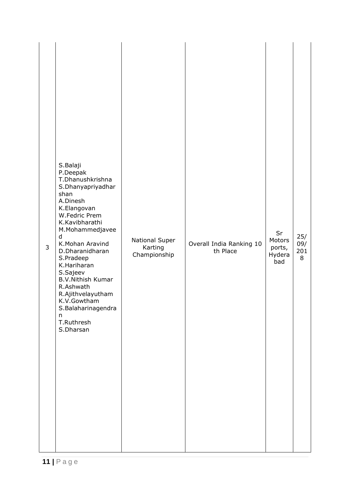| 3 | S.Balaji<br>P.Deepak<br>T.Dhanushkrishna<br>S.Dhanyapriyadhar<br>shan<br>A.Dinesh<br>K.Elangovan<br>W.Fedric Prem<br>K.Kavibharathi<br>M.Mohammedjavee<br>d<br>K.Mohan Aravind<br>D.Dharanidharan<br>S.Pradeep<br>K.Hariharan<br>S.Sajeev<br><b>B.V.Nithish Kumar</b><br>R.Ashwath<br>R.Ajithvelayutham<br>K.V.Gowtham<br>S.Balaharinagendra<br>$\mathsf{n}$<br>T.Ruthresh<br>S.Dharsan | National Super<br>Karting<br>Championship | Overall India Ranking 10<br>th Place | Sr<br>Motors<br>ports,<br>Hydera<br>bad | 25/<br>09/<br>201<br>8 |
|---|-----------------------------------------------------------------------------------------------------------------------------------------------------------------------------------------------------------------------------------------------------------------------------------------------------------------------------------------------------------------------------------------|-------------------------------------------|--------------------------------------|-----------------------------------------|------------------------|
|---|-----------------------------------------------------------------------------------------------------------------------------------------------------------------------------------------------------------------------------------------------------------------------------------------------------------------------------------------------------------------------------------------|-------------------------------------------|--------------------------------------|-----------------------------------------|------------------------|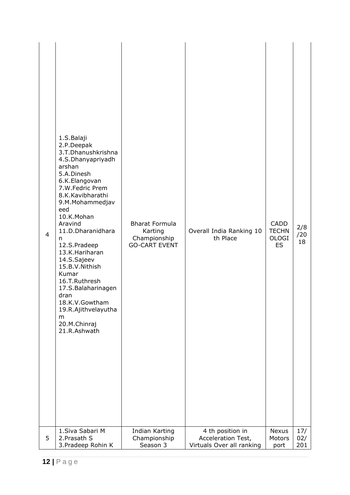| 4 | 1.S.Balaji<br>2.P.Deepak<br>3.T.Dhanushkrishna<br>4.S.Dhanyapriyadh<br>arshan<br>5.A.Dinesh<br>6.K.Elangovan<br>7.W.Fedric Prem<br>8.K.Kavibharathi<br>9.M.Mohammedjav<br>eed<br>10.K.Mohan<br>Aravind<br>11.D.Dharanidhara<br>n<br>12.S.Pradeep<br>13.K.Hariharan<br>14.S.Sajeev<br>15.B.V.Nithish<br>Kumar<br>16.T.Ruthresh<br>17.S.Balaharinagen<br>dran<br>18.K.V.Gowtham<br>19.R.Ajithvelayutha<br>m<br>20.M.Chinraj<br>21.R.Ashwath | <b>Bharat Formula</b><br>Karting<br>Championship<br><b>GO-CART EVENT</b> | Overall India Ranking 10<br>th Place | <b>CADD</b><br><b>TECHN</b><br><b>OLOGI</b><br><b>ES</b> | 2/8<br>/20<br>18 |
|---|-------------------------------------------------------------------------------------------------------------------------------------------------------------------------------------------------------------------------------------------------------------------------------------------------------------------------------------------------------------------------------------------------------------------------------------------|--------------------------------------------------------------------------|--------------------------------------|----------------------------------------------------------|------------------|
| 5 | 1. Siva Sabari M                                                                                                                                                                                                                                                                                                                                                                                                                          | Indian Karting                                                           | 4 th position in                     | <b>Nexus</b>                                             | 17/              |
|   | 2. Prasath S                                                                                                                                                                                                                                                                                                                                                                                                                              | Championship                                                             | Acceleration Test,                   | Motors                                                   | 02/              |
|   | 3. Pradeep Rohin K                                                                                                                                                                                                                                                                                                                                                                                                                        | Season 3                                                                 | Virtuals Over all ranking            | port                                                     | 201              |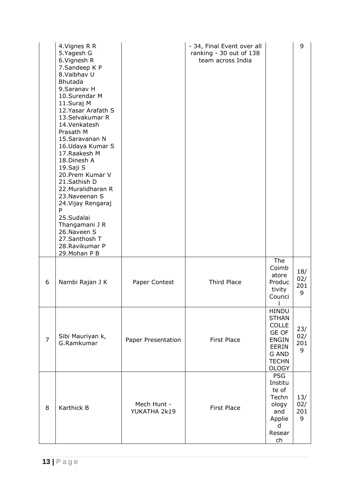|                | 4. Vignes R R<br>5. Yagesh G<br>6. Vignesh R<br>7.Sandeep K P<br>8. Vaibhav U<br><b>Bhutada</b><br>9. Saranav H<br>10.Surendar M<br>11.Suraj M<br>12. Yasar Arafath S<br>13.Selvakumar R<br>14. Venkatesh<br>Prasath M<br>15. Saravanan N<br>16. Udaya Kumar S<br>17. Raakesh M<br>18.Dinesh A<br>19.Saji S<br>20. Prem Kumar V<br>21.Sathish D<br>22. Muralidharan R<br>23. Naveenan S<br>24. Vijay Rengaraj<br>P<br>25.Sudalai<br>Thangamani J R<br>26. Naveen S<br>27. Santhosh T<br>28. Ravikumar P<br>29. Mohan P B |                             | - 34, Final Event over all<br>ranking - 30 out of 138<br>team across India |                                                                                                                                              | 9                      |
|----------------|--------------------------------------------------------------------------------------------------------------------------------------------------------------------------------------------------------------------------------------------------------------------------------------------------------------------------------------------------------------------------------------------------------------------------------------------------------------------------------------------------------------------------|-----------------------------|----------------------------------------------------------------------------|----------------------------------------------------------------------------------------------------------------------------------------------|------------------------|
| 6              | Nambi Rajan J K                                                                                                                                                                                                                                                                                                                                                                                                                                                                                                          | Paper Contest               | Third Place                                                                | The<br>Coimb<br>atore<br>Produc<br>tivity<br>Counci                                                                                          | 18/<br>02/<br>201<br>9 |
| $\overline{7}$ | Sibi Mauriyan k,<br>G.Ramkumar                                                                                                                                                                                                                                                                                                                                                                                                                                                                                           | Paper Presentation          | <b>First Place</b>                                                         | <b>HINDU</b><br><b>STHAN</b><br><b>COLLE</b><br><b>GE OF</b><br><b>ENGIN</b><br><b>EERIN</b><br><b>G AND</b><br><b>TECHN</b><br><b>OLOGY</b> | 23/<br>02/<br>201<br>9 |
| 8              | Karthick B                                                                                                                                                                                                                                                                                                                                                                                                                                                                                                               | Mech Hunt -<br>YUKATHA 2k19 | <b>First Place</b>                                                         | <b>PSG</b><br>Institu<br>te of<br>Techn<br>ology<br>and<br>Applie<br>d<br>Resear<br>ch                                                       | 13/<br>02/<br>201<br>9 |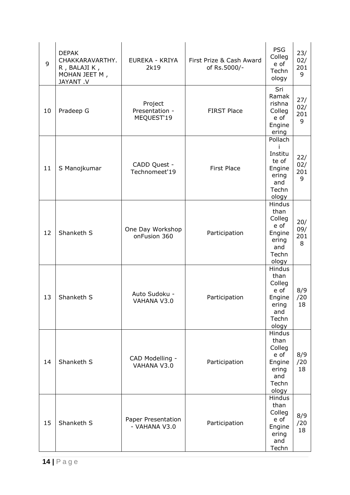| 9  | <b>DEPAK</b><br>CHAKKARAVARTHY.<br>R, BALAJI K,<br>MOHAN JEET M,<br>JAYANT .V | EUREKA - KRIYA<br>2k19                  | First Prize & Cash Award<br>of Rs.5000/- | <b>PSG</b><br>Colleg<br>e of<br>Techn<br>ology                                      | 23/<br>02/<br>201<br>9 |
|----|-------------------------------------------------------------------------------|-----------------------------------------|------------------------------------------|-------------------------------------------------------------------------------------|------------------------|
| 10 | Pradeep G                                                                     | Project<br>Presentation -<br>MEQUEST'19 | <b>FIRST Place</b>                       | Sri<br>Ramak<br>rishna<br>Colleg<br>e of<br>Engine<br>ering                         | 27/<br>02/<br>201<br>9 |
| 11 | S Manojkumar                                                                  | CADD Quest -<br>Technomeet'19           | <b>First Place</b>                       | Pollach<br>Institu<br>te of<br>Engine<br>ering<br>and<br>Techn<br>ology             | 22/<br>02/<br>201<br>9 |
| 12 | Shanketh S                                                                    | One Day Workshop<br>onFusion 360        | Participation                            | Hindus<br>than<br>Colleg<br>e of<br>Engine<br>ering<br>and<br>Techn<br>ology        | 20/<br>09/<br>201<br>8 |
| 13 | Shanketh S                                                                    | Auto Sudoku -<br>VAHANA V3.0            | Participation                            | Hindus<br>than<br>Colleg<br>e of<br>Engine<br>ering<br>and<br>Techn<br>ology        | 8/9<br>/20<br>18       |
| 14 | Shanketh S                                                                    | CAD Modelling -<br>VAHANA V3.0          | Participation                            | <b>Hindus</b><br>than<br>Colleg<br>e of<br>Engine<br>ering<br>and<br>Techn<br>ology | 8/9<br>/20<br>18       |
| 15 | Shanketh S                                                                    | Paper Presentation<br>- VAHANA V3.0     | Participation                            | Hindus<br>than<br>Colleg<br>e of<br>Engine<br>ering<br>and<br>Techn                 | 8/9<br>/20<br>18       |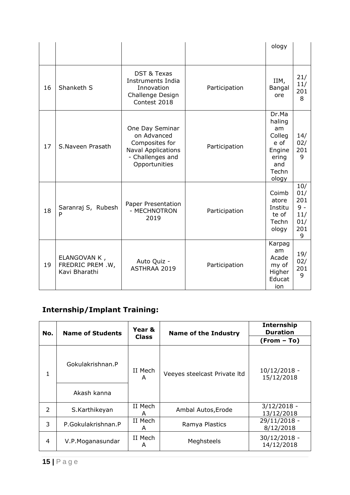|    |                                                   |                                                                                                                    |               | ology                                                                               |                                                      |
|----|---------------------------------------------------|--------------------------------------------------------------------------------------------------------------------|---------------|-------------------------------------------------------------------------------------|------------------------------------------------------|
| 16 | Shanketh S                                        | <b>DST &amp; Texas</b><br>Instruments India<br>Innovation<br>Challenge Design<br>Contest 2018                      | Participation | IIM,<br>Bangal<br>ore                                                               | 21/<br>11/<br>201<br>8                               |
| 17 | S.Naveen Prasath                                  | One Day Seminar<br>on Advanced<br>Composites for<br><b>Naval Applications</b><br>- Challenges and<br>Opportunities | Participation | Dr.Ma<br>haling<br>am<br>Colleg<br>e of<br>Engine<br>ering<br>and<br>Techn<br>ology | 14/<br>02/<br>201<br>9                               |
| 18 | Saranraj S, Rubesh<br>P                           | Paper Presentation<br>- MECHNOTRON<br>2019                                                                         | Participation | Coimb<br>atore<br>Institu<br>te of<br>Techn<br>ology                                | 10/<br>01/<br>201<br>$9 -$<br>11/<br>01/<br>201<br>9 |
| 19 | ELANGOVAN K,<br>FREDRIC PREM .W,<br>Kavi Bharathi | Auto Quiz -<br>ASTHRAA 2019                                                                                        | Participation | Karpag<br>am<br>Acade<br>my of<br>Higher<br>Educat<br>ion                           | 19/<br>02/<br>201<br>9                               |

# **Internship/Implant Training:**

| No. | <b>Name of Students</b>         | Year &       | <b>Name of the Industry</b>  | <b>Internship</b><br><b>Duration</b> |
|-----|---------------------------------|--------------|------------------------------|--------------------------------------|
|     |                                 | <b>Class</b> |                              | $(From - To)$                        |
| 1   | Gokulakrishnan.P<br>Akash kanna | II Mech<br>A | Veeyes steelcast Private Itd | $10/12/2018 -$<br>15/12/2018         |
| 2   | S.Karthikeyan                   | II Mech<br>A | Ambal Autos, Erode           | $3/12/2018 -$<br>13/12/2018          |
| 3   | P.Gokulakrishnan.P              | II Mech<br>A | Ramya Plastics               | 29/11/2018 -<br>8/12/2018            |
| 4   | V.P. Moganasundar               | II Mech<br>A | Meghsteels                   | 30/12/2018 -<br>14/12/2018           |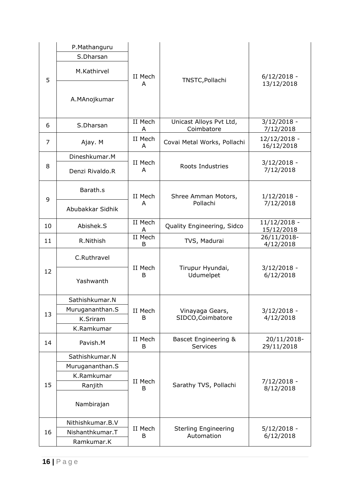|    | P.Mathanguru     |              | TNSTC, Pollachi                           |                            |  |
|----|------------------|--------------|-------------------------------------------|----------------------------|--|
|    | S.Dharsan        |              |                                           |                            |  |
| 5  | M.Kathirvel      | II Mech      |                                           | $6/12/2018 -$              |  |
|    | A.MAnojkumar     | А            |                                           | 13/12/2018                 |  |
| 6  | S.Dharsan        | II Mech<br>A | Unicast Alloys Pvt Ltd,<br>Coimbatore     | $3/12/2018 -$<br>7/12/2018 |  |
| 7  | Ajay. M          | II Mech<br>A | Covai Metal Works, Pollachi               | 12/12/2018 -<br>16/12/2018 |  |
|    | Dineshkumar.M    |              |                                           |                            |  |
| 8  | Denzi Rivaldo.R  | II Mech<br>A | Roots Industries                          | $3/12/2018 -$<br>7/12/2018 |  |
|    | Barath.s         | II Mech      | Shree Amman Motors,                       | $1/12/2018 -$<br>7/12/2018 |  |
| 9  | Abubakkar Sidhik | А            | Pollachi                                  |                            |  |
| 10 | Abishek.S        | II Mech<br>A | Quality Engineering, Sidco                | 11/12/2018 -<br>15/12/2018 |  |
| 11 | R.Nithish        | II Mech<br>B | TVS, Madurai                              | 26/11/2018-<br>4/12/2018   |  |
|    | C.Ruthravel      | II Mech<br>В |                                           |                            |  |
| 12 | Yashwanth        |              | Tirupur Hyundai,<br>Udumelpet             | $3/12/2018 -$<br>6/12/2018 |  |
|    | Sathishkumar.N   |              | Vinayaga Gears,<br>SIDCO, Coimbatore      |                            |  |
| 13 | Murugananthan.S  | II Mech      |                                           | $3/12/2018 -$              |  |
|    | K.Sriram         | B            |                                           | 4/12/2018                  |  |
|    | K.Ramkumar       |              |                                           |                            |  |
| 14 | Pavish.M         | II Mech<br>B | Bascet Engineering &<br>Services          | 20/11/2018-<br>29/11/2018  |  |
|    | Sathishkumar.N   |              |                                           |                            |  |
|    | Murugananthan.S  |              |                                           |                            |  |
|    | K.Ramkumar       | II Mech      |                                           | 7/12/2018 -                |  |
| 15 | Ranjith          | B            | Sarathy TVS, Pollachi                     | 8/12/2018                  |  |
|    | Nambirajan       |              |                                           |                            |  |
|    | Nithishkumar.B.V |              |                                           |                            |  |
| 16 | Nishanthkumar.T  | II Mech<br>В | <b>Sterling Engineering</b><br>Automation | $5/12/2018 -$<br>6/12/2018 |  |
|    | Ramkumar.K       |              |                                           |                            |  |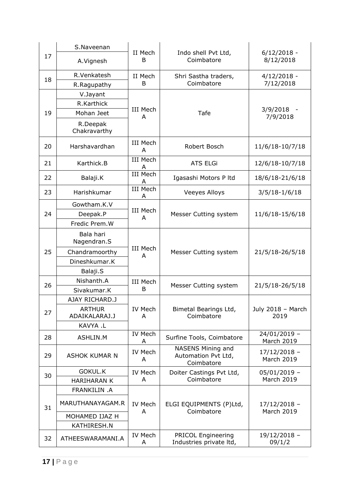|    | S.Naveenan               | II Mech              | Indo shell Pvt Ltd,                                    | $6/12/2018 -$                       |  |
|----|--------------------------|----------------------|--------------------------------------------------------|-------------------------------------|--|
| 17 | A.Vignesh                | B                    | Coimbatore                                             | 8/12/2018                           |  |
| 18 | R.Venkatesh              | II Mech              | Shri Sastha traders,                                   | $4/12/2018 -$                       |  |
|    | R.Ragupathy              | B                    | Coimbatore                                             | 7/12/2018                           |  |
|    | V.Jayant                 |                      |                                                        |                                     |  |
|    | R.Karthick               |                      |                                                        |                                     |  |
| 19 | Mohan Jeet               | <b>III Mech</b><br>A | Tafe                                                   | 3/9/2018<br>7/9/2018                |  |
|    | R.Deepak<br>Chakravarthy |                      |                                                        |                                     |  |
| 20 | Harshavardhan            | III Mech<br>A        | Robert Bosch                                           | 11/6/18-10/7/18                     |  |
| 21 | Karthick.B               | <b>III Mech</b><br>A | <b>ATS ELGi</b>                                        | 12/6/18-10/7/18                     |  |
| 22 | Balaji.K                 | <b>III Mech</b><br>A | Igasashi Motors P ltd                                  | 18/6/18-21/6/18                     |  |
| 23 | Harishkumar              | <b>III Mech</b><br>A | <b>Veeyes Alloys</b>                                   | $3/5/18 - 1/6/18$                   |  |
|    | Gowtham.K.V              |                      |                                                        |                                     |  |
| 24 | Deepak.P                 | III Mech<br>A        | Messer Cutting system                                  | 11/6/18-15/6/18                     |  |
|    | Fredic Prem.W            |                      |                                                        |                                     |  |
|    | Bala hari<br>Nagendran.S | III Mech<br>A        | Messer Cutting system                                  |                                     |  |
| 25 | Chandramoorthy           |                      |                                                        | 21/5/18-26/5/18                     |  |
|    | Dineshkumar.K            |                      |                                                        |                                     |  |
|    | Balaji.S                 |                      |                                                        |                                     |  |
| 26 | Nishanth.A               | III Mech             | Messer Cutting system                                  | 21/5/18-26/5/18                     |  |
|    | Sivakumar.K              | B                    |                                                        |                                     |  |
|    | AJAY RICHARD.J           |                      | Bimetal Bearings Ltd,<br>Coimbatore                    | July 2018 - March                   |  |
| 27 | <b>ARTHUR</b>            | IV Mech              |                                                        |                                     |  |
|    | ADAIKALARAJ.J            | A                    |                                                        | 2019                                |  |
|    | KAVYA .L                 | IV Mech              |                                                        | $24/01/2019 -$                      |  |
| 28 | ASHLIN.M                 | A                    | Surfine Tools, Coimbatore                              | March 2019                          |  |
| 29 | <b>ASHOK KUMAR N</b>     | IV Mech<br>A         | NASENS Mining and<br>Automation Pvt Ltd,<br>Coimbatore | $17/12/2018 -$<br><b>March 2019</b> |  |
|    | <b>GOKUL.K</b>           | IV Mech              | Doiter Castings Pvt Ltd,                               | $05/01/2019 -$                      |  |
| 30 | <b>HARIHARAN K</b>       | A                    | Coimbatore                                             | <b>March 2019</b>                   |  |
|    | FRANKILIN .A             |                      |                                                        |                                     |  |
| 31 | MARUTHANAYAGAM.R         | IV Mech<br>A         | ELGI EQUIPMENTS (P)Ltd,<br>Coimbatore                  | 17/12/2018 -<br><b>March 2019</b>   |  |
|    | MOHAMED IJAZ H           |                      |                                                        |                                     |  |
|    | KATHIRESH.N              |                      |                                                        |                                     |  |
| 32 | ATHEESWARAMANI.A         | IV Mech<br>A         | <b>PRICOL Engineering</b><br>Industries private ltd,   | $19/12/2018 -$<br>09/1/2            |  |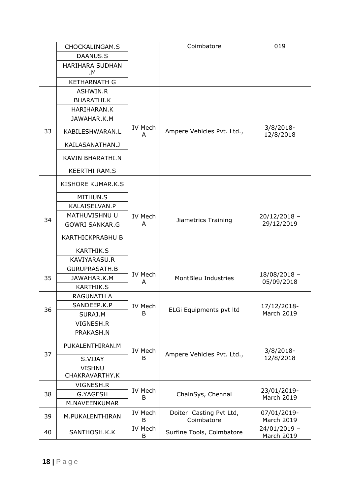|    | CHOCKALINGAM.S               |                     | Coimbatore                            | 019                        |
|----|------------------------------|---------------------|---------------------------------------|----------------------------|
|    | DAANUS.S                     |                     |                                       |                            |
|    | <b>HARIHARA SUDHAN</b><br>.м |                     |                                       |                            |
|    | <b>KETHARNATH G</b>          |                     |                                       |                            |
|    | ASHWIN.R                     |                     |                                       |                            |
|    | BHARATHI.K                   |                     |                                       |                            |
|    | <b>HARIHARAN.K</b>           |                     |                                       |                            |
|    | JAWAHAR.K.M                  |                     |                                       |                            |
| 33 | KABILESHWARAN.L              | IV Mech<br>A        | Ampere Vehicles Pvt. Ltd.,            | $3/8/2018$ -<br>12/8/2018  |
|    | KAILASANATHAN.J              |                     |                                       |                            |
|    | KAVIN BHARATHI.N             |                     |                                       |                            |
|    | <b>KEERTHI RAM.S</b>         |                     |                                       |                            |
|    | KISHORE KUMAR.K.S            |                     |                                       |                            |
|    | MITHUN.S                     |                     |                                       |                            |
|    | KALAISELVAN.P                |                     |                                       |                            |
|    | MATHUVISHNU U                | IV Mech             |                                       | $20/12/2018 -$             |
| 34 | <b>GOWRI SANKAR.G</b>        | A                   | Jiametrics Training                   | 29/12/2019                 |
|    | <b>KARTHICKPRABHU B</b>      |                     |                                       |                            |
|    | <b>KARTHIK.S</b>             |                     |                                       |                            |
|    | KAVIYARASU.R                 |                     |                                       |                            |
|    | <b>GURUPRASATH.B</b>         |                     |                                       |                            |
| 35 | JAWAHAR.K.M                  | IV Mech<br>A        | MontBleu Industries                   | 18/08/2018 -<br>05/09/2018 |
|    | <b>KARTHIK.S</b>             |                     |                                       |                            |
|    | <b>RAGUNATH A</b>            |                     |                                       |                            |
| 36 | SANDEEP.K.P                  | IV Mech             | ELGi Equipments pvt ltd               | 17/12/2018-                |
|    | SURAJ.M                      | B                   |                                       | <b>March 2019</b>          |
|    | VIGNESH.R                    |                     |                                       |                            |
|    | PRAKASH.N                    |                     |                                       |                            |
| 37 | PUKALENTHIRAN.M              | IV Mech             |                                       | $3/8/2018$ -               |
|    | S.VIJAY                      | B                   | Ampere Vehicles Pvt. Ltd.,            | 12/8/2018                  |
|    | <b>VISHNU</b>                |                     |                                       |                            |
|    | CHAKRAVARTHY.K               |                     |                                       |                            |
|    | VIGNESH.R                    | IV Mech             |                                       | 23/01/2019-                |
| 38 | <b>G.YAGESH</b>              | B                   | ChainSys, Chennai                     | <b>March 2019</b>          |
|    | M.NAVEENKUMAR                |                     |                                       |                            |
| 39 | M.PUKALENTHIRAN              | IV Mech<br>B        | Doiter Casting Pvt Ltd,<br>Coimbatore | 07/01/2019-<br>March 2019  |
| 40 | SANTHOSH.K.K                 | <b>IV Mech</b><br>B | Surfine Tools, Coimbatore             | 24/01/2019 -<br>March 2019 |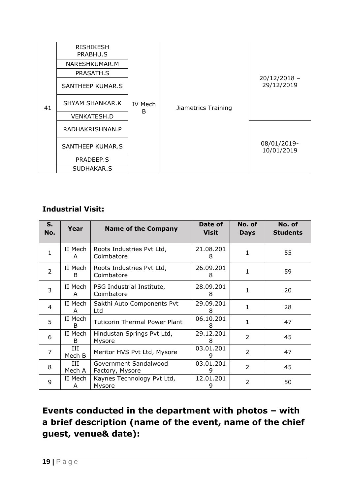|    | <b>RISHIKESH</b><br>PRABHU.S |              |                     |                              |
|----|------------------------------|--------------|---------------------|------------------------------|
|    | NARESHKUMAR.M                |              |                     |                              |
|    | PRASATH.S                    |              |                     |                              |
|    | SANTHEEP KUMAR.S             |              |                     | $20/12/2018 -$<br>29/12/2019 |
| 41 | <b>SHYAM SHANKAR.K</b>       | IV Mech<br>B | Jiametrics Training |                              |
|    | <b>VENKATESH.D</b>           |              |                     |                              |
|    | RADHAKRISHNAN.P              |              |                     |                              |
|    | SANTHEEP KUMAR.S             |              |                     | 08/01/2019-<br>10/01/2019    |
|    | PRADEEP.S                    |              |                     |                              |
|    | SUDHAKAR.S                   |              |                     |                              |

### **Industrial Visit:**

| S.<br>No.      | Year          | <b>Name of the Company</b>               | Date of<br><b>Visit</b> | No. of<br><b>Days</b> | No. of<br><b>Students</b> |
|----------------|---------------|------------------------------------------|-------------------------|-----------------------|---------------------------|
| $\mathbf{1}$   | II Mech<br>A  | Roots Industries Pvt Ltd,<br>Coimbatore  | 21.08.201<br>8          | 1                     | 55                        |
| $\overline{2}$ | II Mech<br>B. | Roots Industries Pvt Ltd,<br>Coimbatore  | 26.09.201<br>8          | 1                     | 59                        |
| $\overline{3}$ | II Mech<br>A  | PSG Industrial Institute,<br>Coimbatore  | 28.09.201<br>8          |                       | 20                        |
| 4              | II Mech<br>A  | Sakthi Auto Components Pvt<br>Ltd        | 29.09.201<br>8          | 1                     | 28                        |
| 5              | II Mech<br>B. | <b>Tuticorin Thermal Power Plant</b>     | 06.10.201<br>8          | 1                     | 47                        |
| 6              | II Mech<br>B  | Hindustan Springs Pvt Ltd,<br>Mysore     | 29.12.201<br>8          | $\overline{2}$        | 45                        |
| 7              | Ш<br>Mech B   | Meritor HVS Pvt Ltd, Mysore              | 03.01.201<br>9          | $\overline{2}$        | 47                        |
| 8              | Ш<br>Mech A   | Government Sandalwood<br>Factory, Mysore | 03.01.201<br>9          | $\overline{2}$        | 45                        |
| 9              | II Mech<br>A  | Kaynes Technology Pvt Ltd,<br>Mysore     | 12.01.201<br>9          | 2                     | 50                        |

**Events conducted in the department with photos – with a brief description (name of the event, name of the chief guest, venue& date):**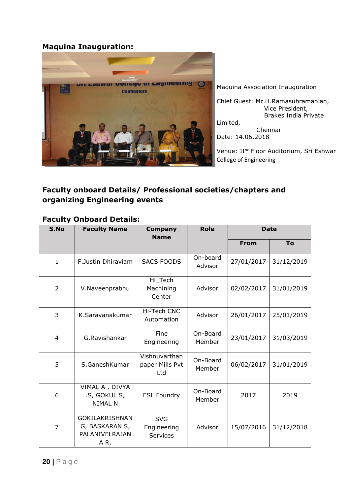#### **Maquina Inauguration:**



Maquina Association Inauguration

Chief Guest: Mr.H.Ramasubramanian, Vice President, Brakes India Private Limited,

 Chennai Date: 14.06.2018

Venue: II<sup>nd</sup> Floor Auditorium, Sri Eshwar College of Engineering

#### **Faculty onboard Details/ Professional societies/chapters and organizing Engineering events**

#### **Faculty Onboard Details:**

| S.No           | <b>Faculty Name</b>                                              | <b>Company</b><br><b>Name</b>           | <b>Role</b>         | <b>Date</b> |            |
|----------------|------------------------------------------------------------------|-----------------------------------------|---------------------|-------------|------------|
|                |                                                                  |                                         |                     | <b>From</b> | To         |
| $\mathbf{1}$   | F.Justin Dhiraviam                                               | <b>SACS FOODS</b>                       | On-board<br>Advisor | 27/01/2017  | 31/12/2019 |
| 2              | V.Naveenprabhu                                                   | Hi_Tech<br>Machining<br>Center          | Advisor             | 02/02/2017  | 31/01/2019 |
| 3              | K.Saravanakumar                                                  | Hi-Tech CNC<br>Automation               | Advisor             | 26/01/2017  | 25/01/2019 |
| 4              | G.Ravishankar                                                    | Fine<br>Engineering                     | On-Board<br>Member  | 23/01/2017  | 31/03/2019 |
| 5              | S.GaneshKumar                                                    | Vishnuvarthan<br>paper Mills Pvt<br>Ltd | On-Board<br>Member  | 06/02/2017  | 31/01/2019 |
| 6              | VIMAL A, DIVYA<br>.S, GOKUL S,<br><b>NIMAL N</b>                 | <b>ESL Foundry</b>                      | On-Board<br>Member  | 2017        | 2019       |
| $\overline{7}$ | GOKILAKRISHNAN<br>G, BASKARAN S,<br><b>PALANIVELRAJAN</b><br>AR, | <b>SVG</b><br>Engineering<br>Services   | Advisor             | 15/07/2016  | 31/12/2018 |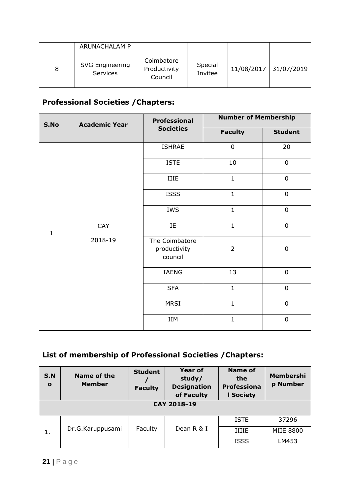|   | ARUNACHALAM P                      |                                       |                    |                       |
|---|------------------------------------|---------------------------------------|--------------------|-----------------------|
| 8 | <b>SVG Engineering</b><br>Services | Coimbatore<br>Productivity<br>Council | Special<br>Invitee | 11/08/2017 31/07/2019 |

# **Professional Societies /Chapters:**

| S.No         | <b>Academic Year</b> | <b>Professional</b>                       | <b>Number of Membership</b> |                |  |
|--------------|----------------------|-------------------------------------------|-----------------------------|----------------|--|
|              |                      | <b>Societies</b>                          | <b>Faculty</b>              | <b>Student</b> |  |
|              |                      | <b>ISHRAE</b>                             | $\mathbf 0$                 | 20             |  |
|              |                      | <b>ISTE</b>                               | 10                          | $\mathbf 0$    |  |
|              |                      | IIIE                                      | $\mathbf{1}$                | $\mathbf 0$    |  |
|              |                      | <b>ISSS</b>                               | $\mathbf{1}$                | $\mathbf 0$    |  |
|              |                      | <b>IWS</b>                                | $\mathbf{1}$                | $\mathbf 0$    |  |
| $\mathbf{1}$ | CAY                  | IE                                        | $\mathbf{1}$                | $\mathbf 0$    |  |
|              | 2018-19              | The Coimbatore<br>productivity<br>council | $\overline{2}$              | $\mathbf 0$    |  |
|              |                      | IAENG                                     | 13                          | $\mathbf 0$    |  |
|              |                      | <b>SFA</b>                                | $\mathbf{1}$                | $\mathbf 0$    |  |
|              |                      | <b>MRSI</b>                               | $\mathbf{1}$                | $\mathbf 0$    |  |
|              |                      | IIM                                       | $\mathbf{1}$                | $\mathbf 0$    |  |

# **List of membership of Professional Societies /Chapters:**

| <b>S.N</b><br>$\mathbf{o}$ | Name of the<br><b>Member</b> | <b>Student</b><br><b>Faculty</b> | <b>Year of</b><br>study/<br><b>Designation</b><br>of Faculty | <b>Name of</b><br>the<br><b>Professiona</b><br><b>I Society</b> | <b>Membershi</b><br>p Number |  |
|----------------------------|------------------------------|----------------------------------|--------------------------------------------------------------|-----------------------------------------------------------------|------------------------------|--|
| CAY 2018-19                |                              |                                  |                                                              |                                                                 |                              |  |
|                            |                              |                                  |                                                              | <b>ISTE</b>                                                     | 37296                        |  |
| 1.                         | Dr.G.Karuppusami             | Faculty                          | Dean R & I                                                   | <b>IIIIE</b>                                                    | <b>MIIE 8800</b>             |  |
|                            |                              |                                  |                                                              | <b>ISSS</b>                                                     | LM453                        |  |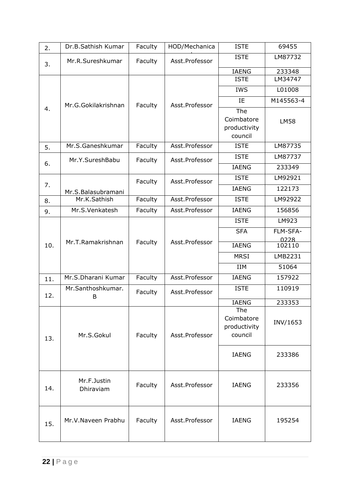| 2.  | Dr.B.Sathish Kumar       | Faculty | HOD/Mechanica  | <b>ISTE</b>                                  | 69455          |
|-----|--------------------------|---------|----------------|----------------------------------------------|----------------|
| 3.  | Mr.R.Sureshkumar         | Faculty | Asst.Professor | <b>ISTE</b>                                  | LM87732        |
|     |                          |         |                | <b>IAENG</b>                                 | 233348         |
|     |                          |         |                | <b>ISTE</b>                                  | LM34747        |
|     |                          |         |                | <b>IWS</b>                                   | L01008         |
| 4.  | Mr.G.Gokilakrishnan      | Faculty | Asst.Professor | IE                                           | M145563-4      |
|     |                          |         |                | The<br>Coimbatore<br>productivity<br>council | <b>LM58</b>    |
| 5.  | Mr.S.Ganeshkumar         | Faculty | Asst.Professor | <b>ISTE</b>                                  | LM87735        |
|     | Mr.Y.SureshBabu          | Faculty | Asst.Professor | <b>ISTE</b>                                  | LM87737        |
| 6.  |                          |         |                | <b>IAENG</b>                                 | 233349         |
|     |                          | Faculty | Asst.Professor | <b>ISTE</b>                                  | LM92921        |
| 7.  | Mr.S.Balasubramani       |         |                | <b>IAENG</b>                                 | 122173         |
| 8.  | Mr.K.Sathish             | Faculty | Asst.Professor | <b>ISTE</b>                                  | LM92922        |
| 9.  | Mr.S.Venkatesh           | Faculty | Asst.Professor | <b>IAENG</b>                                 | 156856         |
|     |                          |         |                | <b>ISTE</b>                                  | LM923          |
|     |                          |         |                | <b>SFA</b>                                   | FLM-SFA-       |
| 10. | Mr.T.Ramakrishnan        | Faculty | Asst.Professor | <b>IAENG</b>                                 | 0228<br>102110 |
|     |                          |         |                | <b>MRSI</b>                                  | LMB2231        |
|     |                          |         |                | <b>IIM</b>                                   | 51064          |
| 11. | Mr.S.Dharani Kumar       | Faculty | Asst.Professor | <b>IAENG</b>                                 | 157922         |
| 12. | Mr.Santhoshkumar.        | Faculty | Asst.Professor | <b>ISTE</b>                                  | 110919         |
|     | B                        |         |                | <b>IAENG</b>                                 | 233353         |
| 13. | Mr.S.Gokul               | Faculty | Asst.Professor | The<br>Coimbatore<br>productivity<br>council | INV/1653       |
|     |                          |         |                | <b>IAENG</b>                                 | 233386         |
| 14. | Mr.F.Justin<br>Dhiraviam | Faculty | Asst.Professor | <b>IAENG</b>                                 | 233356         |
| 15. | Mr.V.Naveen Prabhu       | Faculty | Asst.Professor | <b>IAENG</b>                                 | 195254         |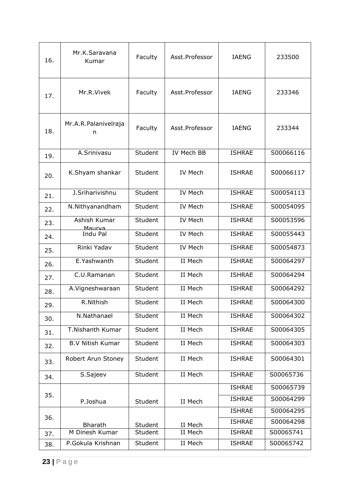| 16. | Mr.K.Saravana<br>Kumar           | Faculty            | Asst.Professor     | <b>IAENG</b>                   | 233500                 |
|-----|----------------------------------|--------------------|--------------------|--------------------------------|------------------------|
| 17. | Mr.R.Vivek                       | Faculty            | Asst.Professor     | <b>IAENG</b>                   | 233346                 |
| 18. | Mr.A.R.Palanivelraja<br>n        | Faculty            | Asst.Professor     | IAENG                          | 233344                 |
| 19. | A.Srinivasu                      | Student            | IV Mech BB         | <b>ISHRAE</b>                  | S00066116              |
| 20. | K.Shyam shankar                  | Student            | <b>IV Mech</b>     | <b>ISHRAE</b>                  | S00066117              |
| 21. | J.Sriharivishnu                  | Student            | <b>IV Mech</b>     | <b>ISHRAE</b>                  | S00054113              |
| 22. | N.Nithyanandham                  | Student            | <b>IV Mech</b>     | <b>ISHRAE</b>                  | S00054095              |
| 23. | Ashish Kumar<br>Maurya           | Student            | <b>IV Mech</b>     | <b>ISHRAE</b>                  | S00053596              |
| 24. | Indu Pal                         | Student            | <b>IV Mech</b>     | <b>ISHRAE</b>                  | S00055443              |
| 25. | Rinki Yadav                      | Student            | <b>IV Mech</b>     | <b>ISHRAE</b>                  | S00054873              |
| 26. | E.Yashwanth                      | Student            | II Mech            | <b>ISHRAE</b>                  | S00064297              |
| 27. | C.U.Ramanan                      | Student            | II Mech            | <b>ISHRAE</b>                  | S00064294              |
| 28. | A.Vigneshwaraan                  | Student            | II Mech            | <b>ISHRAE</b>                  | S00064292              |
| 29. | R.Nithish                        | Student            | II Mech            | <b>ISHRAE</b>                  | S00064300              |
| 30. | N.Nathanael                      | Student            | II Mech            | <b>ISHRAE</b>                  | S00064302              |
| 31. | T.Nishanth Kumar                 | Student            | II Mech            | <b>ISHRAE</b>                  | S00064305              |
| 32. | <b>B.V Nitish Kumar</b>          | Student            | II Mech            | <b>ISHRAE</b>                  | S00064303              |
| 33. | Robert Arun Stoney               | Student            | II Mech            | <b>ISHRAE</b>                  | S00064301              |
| 34. | S.Sajeev                         | Student            | II Mech            | <b>ISHRAE</b>                  | S00065736              |
| 35. |                                  |                    |                    | <b>ISHRAE</b>                  | S00065739              |
|     | P.Joshua                         | Student            | II Mech            | <b>ISHRAE</b>                  | S00064299              |
| 36. |                                  |                    |                    | <b>ISHRAE</b><br><b>ISHRAE</b> | S00064295<br>S00064298 |
|     | <b>Bharath</b><br>M Dinesh Kumar | Student<br>Student | II Mech<br>II Mech | <b>ISHRAE</b>                  | S00065741              |
| 37. | P.Gokula Krishnan                | Student            | II Mech            | <b>ISHRAE</b>                  | S00065742              |
| 38. |                                  |                    |                    |                                |                        |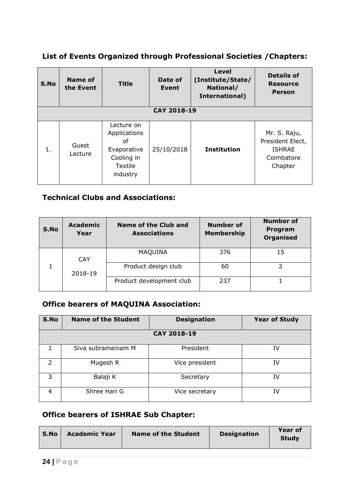### **List of Events Organized through Professional Societies /Chapters:**

| S.No | <b>Name of</b><br>the Event | <b>Title</b>                                                                         | Date of<br>Event | <b>Level</b><br>(Institute/State/<br>National/<br>International) | <b>Details of</b><br><b>Resource</b><br><b>Person</b>                      |
|------|-----------------------------|--------------------------------------------------------------------------------------|------------------|------------------------------------------------------------------|----------------------------------------------------------------------------|
|      |                             |                                                                                      | CAY 2018-19      |                                                                  |                                                                            |
|      |                             |                                                                                      |                  |                                                                  |                                                                            |
| 1.   | Guest<br>Lecture            | Lecture on<br>Applications<br>οf<br>Evaporative<br>Cooling in<br>Textile<br>industry | 25/10/2018       | <b>Institution</b>                                               | Mr. S. Raju,<br>President Elect,<br><b>ISHRAE</b><br>Coimbatore<br>Chapter |

### **Technical Clubs and Associations:**

| S.No | <b>Academic</b><br>Year | Name of the Club and<br><b>Associations</b> | <b>Number of</b><br><b>Membership</b> | <b>Number of</b><br>Program<br><b>Organised</b> |
|------|-------------------------|---------------------------------------------|---------------------------------------|-------------------------------------------------|
|      | <b>CAY</b>              | <b>MAQUINA</b>                              | 376                                   | 15                                              |
|      | 2018-19                 | Product design club                         | 60                                    |                                                 |
|      |                         | Product development club                    | 237                                   |                                                 |

### **Office bearers of MAQUINA Association:**

| S.No          | <b>Name of the Student</b> | <b>Designation</b> | <b>Year of Study</b> |  |  |  |  |
|---------------|----------------------------|--------------------|----------------------|--|--|--|--|
|               | CAY 2018-19                |                    |                      |  |  |  |  |
|               | Siva subramaniam M         | President          | IV                   |  |  |  |  |
| $\mathcal{L}$ | Mugesh R                   | Vice president     | IV                   |  |  |  |  |
| 3             | Balaji K                   | Secretary          | IV                   |  |  |  |  |
| 4             | Shree Hari G               | Vice secretary     | ΙV                   |  |  |  |  |

#### **Office bearers of ISHRAE Sub Chapter:**

| <b>Academic Year</b><br><b>Name of the Student</b><br><b>Designation</b><br>∣ S.No<br><b>Study</b> |  |  |  |  | <b>Year of</b> |
|----------------------------------------------------------------------------------------------------|--|--|--|--|----------------|
|----------------------------------------------------------------------------------------------------|--|--|--|--|----------------|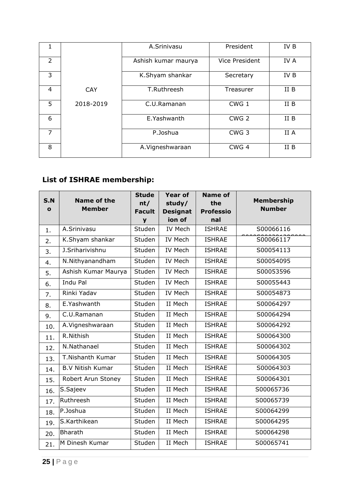|                |            | A.Srinivasu         | President        | IV B |
|----------------|------------|---------------------|------------------|------|
| $\overline{2}$ |            | Ashish kumar maurya | Vice President   | IV A |
| 3              |            | K.Shyam shankar     | Secretary        | IV B |
| 4              | <b>CAY</b> | T.Ruthreesh         | Treasurer        | II B |
| 5              | 2018-2019  | C.U.Ramanan         | CWG <sub>1</sub> | II B |
| 6              |            | E.Yashwanth         | CWG <sub>2</sub> | II B |
| 7              |            | P.Joshua            | CWG <sub>3</sub> | II A |
| 8              |            | A. Vigneshwaraan    | CWG <sub>4</sub> | II B |

# **List of ISHRAE membership:**

|              |                              | <b>Stude</b>  | <b>Year of</b>  | <b>Name of</b>   |                                    |
|--------------|------------------------------|---------------|-----------------|------------------|------------------------------------|
| S.N          | Name of the<br><b>Member</b> | nt/           | study/          | the              | <b>Membership</b><br><b>Number</b> |
| $\mathbf{o}$ |                              | <b>Facult</b> | <b>Designat</b> | <b>Professio</b> |                                    |
|              |                              | y             | ion of          | nal              |                                    |
| 1.           | A.Srinivasu                  | Studen        | <b>IV Mech</b>  | <b>ISHRAE</b>    | S00066116                          |
| 2.           | K.Shyam shankar              | Studen        | IV Mech         | <b>ISHRAE</b>    | S00066117                          |
| 3.           | J.Sriharivishnu              | Studen        | IV Mech         | <b>ISHRAE</b>    | S00054113                          |
| 4.           | N.Nithyanandham              | Studen        | IV Mech         | <b>ISHRAE</b>    | S00054095                          |
| 5.           | Ashish Kumar Maurya          | Studen        | <b>IV Mech</b>  | <b>ISHRAE</b>    | S00053596                          |
| 6.           | Indu Pal                     | Studen        | IV Mech         | <b>ISHRAE</b>    | S00055443                          |
| 7.           | Rinki Yadav                  | Studen        | <b>IV Mech</b>  | <b>ISHRAE</b>    | S00054873                          |
| 8.           | E.Yashwanth                  | Studen        | II Mech         | <b>ISHRAE</b>    | S00064297                          |
| 9.           | C.U.Ramanan                  | Studen        | II Mech         | <b>ISHRAE</b>    | S00064294                          |
| 10.          | A.Vigneshwaraan              | Studen        | II Mech         | <b>ISHRAE</b>    | S00064292                          |
| 11.          | R.Nithish                    | Studen        | II Mech         | <b>ISHRAE</b>    | S00064300                          |
| 12.          | N.Nathanael                  | Studen        | II Mech         | <b>ISHRAE</b>    | S00064302                          |
| 13.          | T.Nishanth Kumar             | Studen        | II Mech         | <b>ISHRAE</b>    | S00064305                          |
| 14.          | <b>B.V Nitish Kumar</b>      | Studen        | II Mech         | <b>ISHRAE</b>    | S00064303                          |
| 15.          | Robert Arun Stoney           | Studen        | II Mech         | <b>ISHRAE</b>    | S00064301                          |
| 16.          | S.Sajeev                     | Studen        | II Mech         | <b>ISHRAE</b>    | S00065736                          |
| 17.          | Ruthreesh                    | Studen        | II Mech         | <b>ISHRAE</b>    | S00065739                          |
| 18.          | P.Joshua                     | Studen        | II Mech         | <b>ISHRAE</b>    | S00064299                          |
| 19.          | S.Karthikean                 | Studen        | II Mech         | <b>ISHRAE</b>    | S00064295                          |
| 20.          | Bharath                      | Studen        | II Mech         | <b>ISHRAE</b>    | S00064298                          |
| 21.          | M Dinesh Kumar               | Studen        | II Mech         | <b>ISHRAE</b>    | S00065741                          |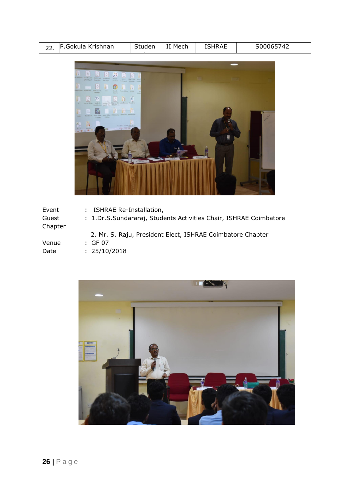| <u>__</u> | 22 P.Gokula Krishnan | Studen | ਾ Mech | <b>ISHRAE</b> | S00065742 |
|-----------|----------------------|--------|--------|---------------|-----------|



| Event<br>Guest<br>Chapter | : ISHRAE Re-Installation,<br>: 1.Dr.S.Sundararaj, Students Activities Chair, ISHRAE Coimbatore |
|---------------------------|------------------------------------------------------------------------------------------------|
| Venue<br>Date             | 2. Mr. S. Raju, President Elect, ISHRAE Coimbatore Chapter<br>: GF 07<br>: 25/10/2018          |

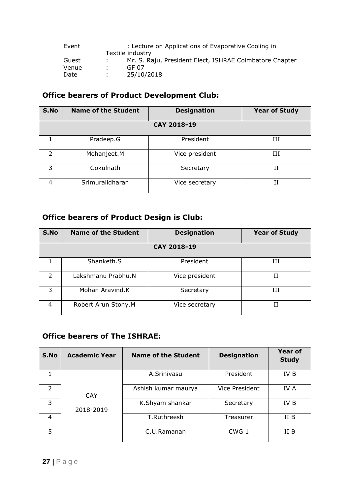| Event | : Lecture on Applications of Evaporative Cooling in |                                                         |  |  |  |  |
|-------|-----------------------------------------------------|---------------------------------------------------------|--|--|--|--|
|       |                                                     | Textile industry                                        |  |  |  |  |
| Guest |                                                     | Mr. S. Raju, President Elect, ISHRAE Coimbatore Chapter |  |  |  |  |
| Venue | . .                                                 | GF 07                                                   |  |  |  |  |
| Date  |                                                     | 25/10/2018                                              |  |  |  |  |

# **Office bearers of Product Development Club:**

| S.No          | <b>Name of the Student</b> | <b>Designation</b> | <b>Year of Study</b> |  |  |  |  |
|---------------|----------------------------|--------------------|----------------------|--|--|--|--|
| CAY 2018-19   |                            |                    |                      |  |  |  |  |
|               | Pradeep.G                  | President          | Ш                    |  |  |  |  |
| $\mathcal{P}$ | Mohanjeet.M                | Vice president     | Ш                    |  |  |  |  |
| 3             | Gokulnath                  | Secretary          | Н                    |  |  |  |  |
| 4             | Srimuralidharan            | Vice secretary     | Н                    |  |  |  |  |

# **Office bearers of Product Design is Club:**

| S.No          | <b>Name of the Student</b> | <b>Designation</b> | <b>Year of Study</b> |  |  |  |  |
|---------------|----------------------------|--------------------|----------------------|--|--|--|--|
| CAY 2018-19   |                            |                    |                      |  |  |  |  |
|               | Shanketh.S                 | President          | Ш                    |  |  |  |  |
| $\mathcal{P}$ | Lakshmanu Prabhu.N         | Vice president     | Н                    |  |  |  |  |
| 3             | Mohan Aravind.K            | Secretary          | Ш                    |  |  |  |  |
| 4             | Robert Arun Stony.M        | Vice secretary     | H                    |  |  |  |  |

#### **Office bearers of The ISHRAE:**

| S.No           | <b>Academic Year</b> | Name of the Student | <b>Designation</b> | <b>Year of</b><br><b>Study</b> |
|----------------|----------------------|---------------------|--------------------|--------------------------------|
|                |                      | A.Srinivasu         | President          | IV B                           |
| $\mathfrak{D}$ | <b>CAY</b>           | Ashish kumar maurya | Vice President     | IV A                           |
| 3              | 2018-2019            | K.Shyam shankar     | Secretary          | IV B                           |
| 4              |                      | T.Ruthreesh         | Treasurer          | II B                           |
| 5              |                      | C.U.Ramanan         | CWG <sub>1</sub>   | II B                           |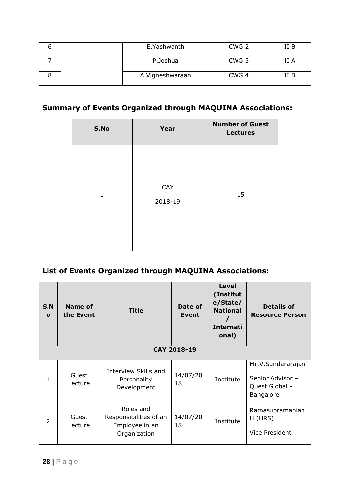|  | E.Yashwanth      | CWG <sub>2</sub> | II B |
|--|------------------|------------------|------|
|  | P.Joshua         | CWG <sub>3</sub> | II A |
|  | A. Vigneshwaraan | CWG <sub>4</sub> | II B |

# **Summary of Events Organized through MAQUINA Associations:**

| S.No         | Year           | <b>Number of Guest</b><br><b>Lectures</b> |
|--------------|----------------|-------------------------------------------|
| $\mathbf{1}$ | CAY<br>2018-19 | 15                                        |

# **List of Events Organized through MAQUINA Associations:**

| S.N<br>$\mathbf{o}$ | Name of<br>the Event | <b>Title</b>                                                          | Date of<br><b>Event</b> | Level<br>(Institut<br>e/State/<br><b>National</b><br><b>Internati</b><br>onal) | <b>Details of</b><br><b>Resource Person</b>                          |
|---------------------|----------------------|-----------------------------------------------------------------------|-------------------------|--------------------------------------------------------------------------------|----------------------------------------------------------------------|
|                     |                      |                                                                       | CAY 2018-19             |                                                                                |                                                                      |
| 1                   | Guest<br>Lecture     | Interview Skills and<br>Personality<br>Development                    | 14/07/20<br>18          | Institute                                                                      | Mr.V.Sundararajan<br>Senior Advisor -<br>Quest Global -<br>Bangalore |
| 2                   | Guest<br>Lecture     | Roles and<br>Responsibilities of an<br>Employee in an<br>Organization | 14/07/20<br>18          | Institute                                                                      | Ramasubramanian<br>H (HRS)<br>Vice President                         |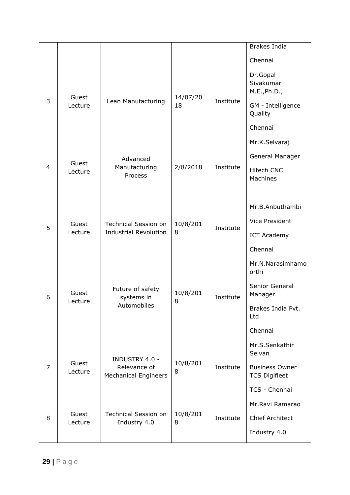|   |                  |                                                                      |                |           | <b>Brakes India</b>                                                                           |
|---|------------------|----------------------------------------------------------------------|----------------|-----------|-----------------------------------------------------------------------------------------------|
|   |                  |                                                                      |                |           | Chennai                                                                                       |
| 3 | Guest<br>Lecture | Lean Manufacturing                                                   | 14/07/20<br>18 | Institute | Dr.Gopal<br>Sivakumar<br>M.E., Ph.D.,<br>GM - Intelligence<br>Quality<br>Chennai              |
| 4 | Guest<br>Lecture | Advanced<br>Manufacturing<br>Process                                 | 2/8/2018       | Institute | Mr.K.Selvaraj<br>General Manager<br>Hitech CNC<br>Machines                                    |
| 5 | Guest<br>Lecture | <b>Technical Session on</b><br><b>Industrial Revolution</b>          | 10/8/201<br>8  | Institute | Mr.B.Anbuthambi<br><b>Vice President</b><br><b>ICT Academy</b><br>Chennai                     |
| 6 | Guest<br>Lecture | Future of safety<br>systems in<br>Automobiles                        | 10/8/201<br>8  | Institute | Mr.N.Narasimhamo<br>orthi<br>Senior General<br>Manager<br>Brakes India Pvt.<br>Ltd<br>Chennai |
| 7 | Guest<br>Lecture | <b>INDUSTRY 4.0 -</b><br>Relevance of<br><b>Mechanical Engineers</b> | 10/8/201<br>8  | Institute | Mr.S.Senkathir<br>Selvan<br><b>Business Owner</b><br><b>TCS Digifleet</b><br>TCS - Chennai    |
| 8 | Guest<br>Lecture | <b>Technical Session on</b><br>Industry 4.0                          | 10/8/201<br>8  | Institute | Mr.Ravi Ramarao<br><b>Chief Architect</b><br>Industry 4.0                                     |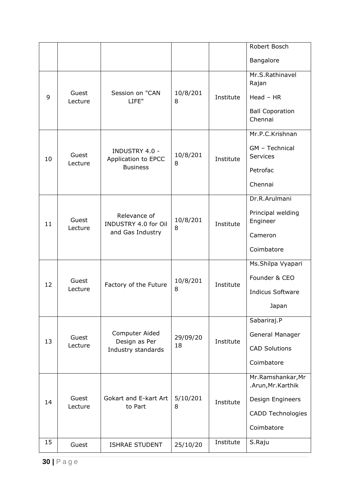|    |                  |                                                          |                |           | Robert Bosch                            |
|----|------------------|----------------------------------------------------------|----------------|-----------|-----------------------------------------|
|    |                  |                                                          |                |           | Bangalore                               |
|    |                  |                                                          |                |           | Mr.S.Rathinavel<br>Rajan                |
| 9  | Guest<br>Lecture | Session on "CAN<br>LIFE"                                 | 10/8/201<br>8  | Institute | $Head - HR$                             |
|    |                  |                                                          |                |           | <b>Ball Coporation</b><br>Chennai       |
|    |                  |                                                          |                |           | Mr.P.C.Krishnan                         |
| 10 | Guest            | <b>INDUSTRY 4.0 -</b><br>Application to EPCC             | 10/8/201       | Institute | GM - Technical<br>Services              |
|    | Lecture          | <b>Business</b>                                          | 8              |           | Petrofac                                |
|    |                  |                                                          |                |           | Chennai                                 |
|    |                  |                                                          |                |           | Dr.R.Arulmani                           |
| 11 | Guest<br>Lecture | Relevance of<br>INDUSTRY 4.0 for Oil<br>and Gas Industry | 10/8/201<br>8  | Institute | Principal welding<br>Engineer           |
|    |                  |                                                          |                |           | Cameron                                 |
|    |                  |                                                          |                |           | Coimbatore                              |
|    |                  |                                                          |                |           | Ms.Shilpa Vyapari                       |
| 12 | Guest<br>Lecture | Factory of the Future                                    | 10/8/201<br>8  | Institute | Founder & CEO                           |
|    |                  |                                                          |                |           | <b>Indicus Software</b>                 |
|    |                  |                                                          |                |           | Japan                                   |
|    |                  |                                                          |                |           | Sabariraj.P                             |
| 13 | Guest            | Computer Aided<br>Design as Per                          | 29/09/20<br>18 | Institute | General Manager                         |
|    | Lecture          | Industry standards                                       |                |           | <b>CAD Solutions</b>                    |
|    |                  |                                                          |                |           | Coimbatore                              |
|    |                  |                                                          |                |           | Mr.Ramshankar, Mr<br>.Arun, Mr. Karthik |
| 14 | Guest<br>Lecture | Gokart and E-kart Art<br>to Part                         | 5/10/201<br>8  | Institute | Design Engineers                        |
|    |                  |                                                          |                |           | <b>CADD Technologies</b>                |
|    |                  |                                                          |                |           | Coimbatore                              |
| 15 | Guest            | <b>ISHRAE STUDENT</b>                                    | 25/10/20       | Institute | S.Raju                                  |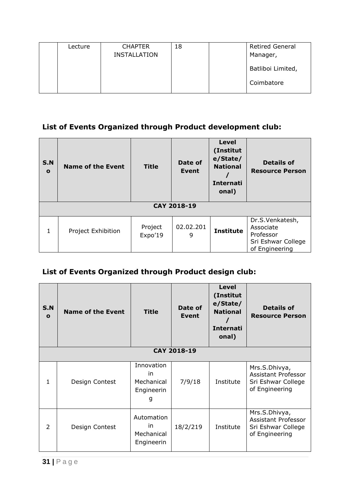| Lecture | <b>CHAPTER</b><br><b>INSTALLATION</b> | 18 | <b>Retired General</b><br>Manager, |
|---------|---------------------------------------|----|------------------------------------|
|         |                                       |    | Batliboi Limited,                  |
|         |                                       |    | Coimbatore                         |

# **List of Events Organized through Product development club:**

| <b>S.N</b><br>$\mathbf{o}$ | <b>Name of the Event</b> | <b>Title</b>       | Date of<br>Event | <b>Level</b><br>(Institut<br>e/State/<br><b>National</b><br><b>Internati</b><br>onal) | <b>Details of</b><br><b>Resource Person</b>                                       |  |  |
|----------------------------|--------------------------|--------------------|------------------|---------------------------------------------------------------------------------------|-----------------------------------------------------------------------------------|--|--|
|                            | CAY 2018-19              |                    |                  |                                                                                       |                                                                                   |  |  |
| 1                          | Project Exhibition       | Project<br>Expo'19 | 02.02.201<br>9   | <b>Institute</b>                                                                      | Dr.S.Venkatesh,<br>Associate<br>Professor<br>Sri Eshwar College<br>of Engineering |  |  |

# **List of Events Organized through Product design club:**

| <b>S.N</b><br>$\mathbf{o}$ | <b>Name of the Event</b> | <b>Title</b>                                      | Date of<br>Event | <b>Level</b><br>(Institut<br>e/State/<br><b>National</b><br><b>Internati</b><br>onal) | <b>Details of</b><br><b>Resource Person</b>                                         |  |  |
|----------------------------|--------------------------|---------------------------------------------------|------------------|---------------------------------------------------------------------------------------|-------------------------------------------------------------------------------------|--|--|
|                            | CAY 2018-19              |                                                   |                  |                                                                                       |                                                                                     |  |  |
| 1                          | Design Contest           | Innovation<br>in<br>Mechanical<br>Engineerin<br>g | 7/9/18           | Institute                                                                             | Mrs.S.Dhivya,<br>Assistant Professor<br>Sri Eshwar College<br>of Engineering        |  |  |
| 2                          | Design Contest           | Automation<br>in<br>Mechanical<br>Engineerin      | 18/2/219         | Institute                                                                             | Mrs.S.Dhivya,<br><b>Assistant Professor</b><br>Sri Eshwar College<br>of Engineering |  |  |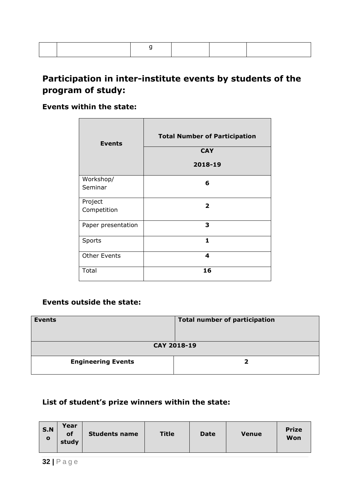# **Participation in inter-institute events by students of the program of study:**

### **Events within the state:**

| <b>Events</b>       | <b>Total Number of Participation</b><br><b>CAY</b><br>2018-19 |
|---------------------|---------------------------------------------------------------|
| Workshop/           | 6                                                             |
| Seminar             |                                                               |
| Project             | $\overline{\mathbf{2}}$                                       |
| Competition         |                                                               |
| Paper presentation  | 3                                                             |
| Sports              | $\mathbf{1}$                                                  |
| <b>Other Events</b> | 4                                                             |
| Total               | 16                                                            |

#### **Events outside the state:**

| <b>Events</b>             | <b>Total number of participation</b> |  |  |
|---------------------------|--------------------------------------|--|--|
| CAY 2018-19               |                                      |  |  |
| <b>Engineering Events</b> |                                      |  |  |

#### **List of student's prize winners within the state:**

| Year<br><b>S.N</b><br><b>Title</b><br>of<br><b>Students name</b><br><b>Date</b><br><b>Venue</b><br>$\Omega$<br>study | <b>Prize</b><br>Won |
|----------------------------------------------------------------------------------------------------------------------|---------------------|
|----------------------------------------------------------------------------------------------------------------------|---------------------|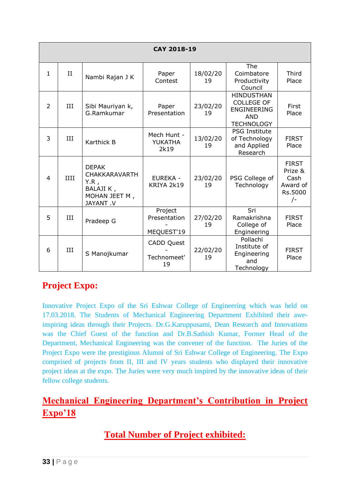|              | CAY 2018-19 |                                                                                            |                                        |                |                                                                                                 |                                                                 |  |
|--------------|-------------|--------------------------------------------------------------------------------------------|----------------------------------------|----------------|-------------------------------------------------------------------------------------------------|-----------------------------------------------------------------|--|
| $\mathbf{1}$ | $_{\rm II}$ | Nambi Rajan J K                                                                            | Paper<br>Contest                       | 18/02/20<br>19 | The<br>Coimbatore<br>Productivity<br>Council                                                    | Third<br>Place                                                  |  |
| 2            | III         | Sibi Mauriyan k,<br>G.Ramkumar                                                             | Paper<br>Presentation                  | 23/02/20<br>19 | <b>HINDUSTHAN</b><br><b>COLLEGE OF</b><br><b>ENGINEERING</b><br><b>AND</b><br><b>TECHNOLOGY</b> | First<br>Place                                                  |  |
| 3            | III         | Karthick B                                                                                 | Mech Hunt -<br>YUKATHA<br>2k19         | 13/02/20<br>19 | <b>PSG Institute</b><br>of Technology<br>and Applied<br>Research                                | <b>FIRST</b><br>Place                                           |  |
| 4            | IIII        | <b>DEPAK</b><br><b>CHAKKARAVARTH</b><br>$Y.R$ ,<br>BALAJI K,<br>MOHAN JEET M,<br>JAYANT .V | <b>EUREKA -</b><br>KRIYA 2k19          | 23/02/20<br>19 | PSG College of<br>Technology                                                                    | <b>FIRST</b><br>Prize &<br>Cash<br>Award of<br>Rs.5000<br>$/$ - |  |
| 5            | HН          | Pradeep G                                                                                  | Project<br>Presentation<br>MEQUEST'19  | 27/02/20<br>19 | Sri<br>Ramakrishna<br>College of<br>Engineering                                                 | <b>FIRST</b><br>Place                                           |  |
| 6            | HН          | S Manojkumar                                                                               | <b>CADD Quest</b><br>Technomeet'<br>19 | 22/02/20<br>19 | Pollachi<br>Institute of<br>Engineering<br>and<br>Technology                                    | <b>FIRST</b><br>Place                                           |  |

# **Project Expo:**

Innovative Project Expo of the Sri Eshwar College of Engineering which was held on 17.03.2018. The Students of Mechanical Engineering Department Exhibited their aweinspiring ideas through their Projects. Dr.G.Karuppusami, Dean Research and Innovations was the Chief Guest of the function and Dr.B.Sathish Kumar, Former Head of the Department, Mechanical Engineering was the convener of the function. The Juries of the Project Expo were the prestigious Alumni of Sri Eshwar College of Engineering. The Expo comprised of projects from II, III and IV years students who displayed their innovative project ideas at the expo. The Juries were very much inspired by the innovative ideas of their fellow college students.

# **Mechanical Engineering Department's Contribution in Project Expo'18**

# **Total Number of Project exhibited:**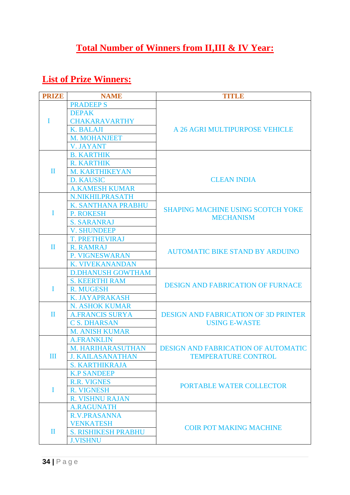# **Total Number of Winners from II,III & IV Year:**

# **List of Prize Winners:**

| <b>PRIZE</b> | <b>NAME</b>                | TITLE                                       |  |
|--------------|----------------------------|---------------------------------------------|--|
|              | <b>PRADEEPS</b>            |                                             |  |
|              | <b>DEPAK</b>               |                                             |  |
| I            | <b>CHAKARAVARTHY</b>       |                                             |  |
|              | <b>K. BALAJI</b>           | A 26 AGRI MULTIPURPOSE VEHICLE              |  |
|              | <b>M. MOHANJEET</b>        |                                             |  |
|              | <b>V. JAYANT</b>           |                                             |  |
|              | <b>B. KARTHIK</b>          |                                             |  |
|              | <b>R. KARTHIK</b>          |                                             |  |
| $\mathbf{I}$ | <b>M. KARTHIKEYAN</b>      |                                             |  |
|              | <b>D. KAUSIC</b>           | <b>CLEAN INDIA</b>                          |  |
|              | <b>A.KAMESH KUMAR</b>      |                                             |  |
|              | <b>N.NIKHILPRASATH</b>     |                                             |  |
|              | K. SANTHANA PRABHU         | <b>SHAPING MACHINE USING SCOTCH YOKE</b>    |  |
| T            | <b>P. ROKESH</b>           | <b>MECHANISM</b>                            |  |
|              | <b>S. SARANRAJ</b>         |                                             |  |
|              | <b>V. SHUNDEEP</b>         |                                             |  |
|              | <b>T. PRETHEVIRAJ</b>      |                                             |  |
| $\mathbf{I}$ | <b>R. RAMRAJ</b>           | <b>AUTOMATIC BIKE STAND BY ARDUINO</b>      |  |
|              | P. VIGNESWARAN             |                                             |  |
|              | <b>K. VIVEKANANDAN</b>     |                                             |  |
|              | <b>D.DHANUSH GOWTHAM</b>   |                                             |  |
|              | <b>S. KEERTHI RAM</b>      | <b>DESIGN AND FABRICATION OF FURNACE</b>    |  |
| T            | R. MUGESH                  |                                             |  |
|              | <b>K. JAYAPRAKASH</b>      |                                             |  |
|              | <b>N. ASHOK KUMAR</b>      |                                             |  |
| Π            | <b>A.FRANCIS SURYA</b>     | <b>DESIGN AND FABRICATION OF 3D PRINTER</b> |  |
|              | <b>C S. DHARSAN</b>        | <b>USING E-WASTE</b>                        |  |
|              | <b>M. ANISH KUMAR</b>      |                                             |  |
|              | <b>A.FRANKLIN</b>          |                                             |  |
|              | M. HARIHARASUTHAN          | <b>DESIGN AND FABRICATION OF AUTOMATIC</b>  |  |
| Ш            | <b>J. KAILASANATHAN</b>    | <b>TEMPERATURE CONTROL</b>                  |  |
|              | <b>S. KARTHIKRAJA</b>      |                                             |  |
|              | <b>K.P SANDEEP</b>         |                                             |  |
|              | <b>R.R. VIGNES</b>         | PORTABLE WATER COLLECTOR                    |  |
| I            | <b>R. VIGNESH</b>          |                                             |  |
|              | <b>R. VISHNU RAJAN</b>     |                                             |  |
|              | <b>A.RAGUNATH</b>          |                                             |  |
|              | <b>R.V.PRASANNA</b>        |                                             |  |
|              | <b>VENKATESH</b>           | <b>COIR POT MAKING MACHINE</b>              |  |
| $\mathbf{I}$ | <b>S. RISHIKESH PRABHU</b> |                                             |  |
|              | <b>J.VISHNU</b>            |                                             |  |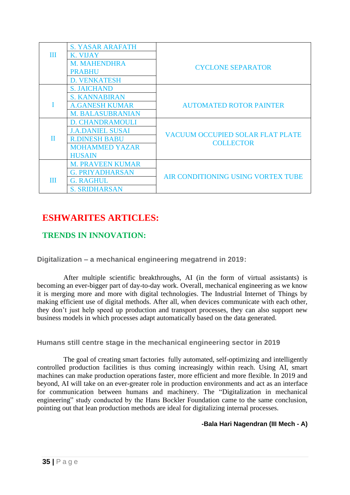|   | <b>S. YASAR ARAFATH</b> |                                    |  |
|---|-------------------------|------------------------------------|--|
| Ш | K. VIJAY                |                                    |  |
|   | <b>M. MAHENDHRA</b>     | <b>CYCLONE SEPARATOR</b>           |  |
|   | <b>PRABHU</b>           |                                    |  |
|   | <b>D. VENKATESH</b>     |                                    |  |
|   | <b>S. JAICHAND</b>      |                                    |  |
|   | <b>S. KANNABIRAN</b>    |                                    |  |
|   | <b>A.GANESH KUMAR</b>   | <b>AUTOMATED ROTOR PAINTER</b>     |  |
|   | <b>M. BALASUBRANIAN</b> |                                    |  |
|   | <b>D. CHANDRAMOULI</b>  |                                    |  |
|   | <b>J.A.DANIEL SUSAI</b> | VACUUM OCCUPIED SOLAR FLAT PLATE   |  |
| П | <b>R.DINESH BABU</b>    | <b>COLLECTOR</b>                   |  |
|   | <b>MOHAMMED YAZAR</b>   |                                    |  |
|   | <b>HUSAIN</b>           |                                    |  |
|   | <b>M. PRAVEEN KUMAR</b> |                                    |  |
|   | <b>G. PRIYADHARSAN</b>  | AIR CONDITIONING USING VORTEX TUBE |  |
| Ш | <b>G. RAGHUL</b>        |                                    |  |
|   | <b>S. SRIDHARSAN</b>    |                                    |  |

# **ESHWARITES ARTICLES:**

### **TRENDS IN INNOVATION:**

**Digitalization – a mechanical engineering megatrend in 2019:**

After multiple scientific breakthroughs, AI (in the form of virtual assistants) is becoming an ever-bigger part of day-to-day work. Overall, mechanical engineering as we know it is merging more and more with digital technologies. The Industrial Internet of Things by making efficient use of digital methods. After all, when devices communicate with each other, they don't just help speed up production and transport processes, they can also support new business models in which processes adapt automatically based on the data generated.

**Humans still centre stage in the mechanical engineering sector in 2019**

The goal of creating smart [factories](https://ottomotors.com/blog/what-is-the-smart-factory-manufacturing) fully automated, self-optimizing and intelligently controlled production facilities is thus coming increasingly within reach. Using AI, smart machines can make production operations faster, more efficient and more flexible. In 2019 and beyond, AI will take on an ever-greater role in production environments and act as an interface for communication between humans and machinery. The "Digitalization in mechanical engineering" study conducted by the Hans Bockler Foundation came to the same conclusion, pointing out that lean [production](https://blog.item24.de/en/article-detail/show-blog-article/know-how/lean-production-methods-at-a-glance.html) methods are ideal for digitalizing internal processes.

#### **-Bala Hari Nagendran (III Mech - A)**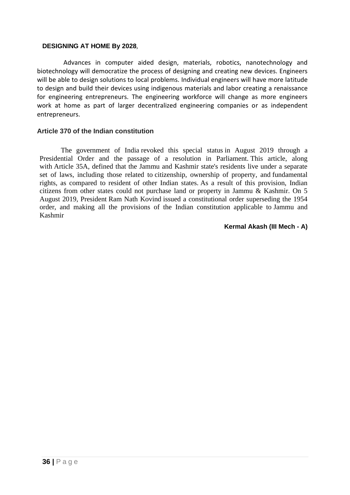#### **DESIGNING AT HOME By 2028**,

Advances in computer aided design, materials, robotics, nanotechnology and biotechnology will democratize the process of designing and creating new devices. Engineers will be able to design solutions to local problems. Individual engineers will have more latitude to design and build their devices using indigenous materials and labor creating a renaissance for engineering entrepreneurs. The engineering workforce will change as more engineers work at home as part of larger decentralized engineering companies or as independent entrepreneurs.

#### **Article 370 of the Indian constitution**

The government of India [revoked this special status](https://en.wikipedia.org/wiki/Indian_revocation_of_Jammu_and_Kashmir%27s_special_status) in August 2019 through a Presidential Order and the passage of a resolution in Parliament. This article, along with [Article 35A,](https://en.wikipedia.org/wiki/Article_35A_of_the_Constitution_of_India) defined that the Jammu and Kashmir state's residents live under a separate set of laws, including those related to [citizenship,](https://en.wikipedia.org/wiki/Indian_citizenship) ownership of property, and [fundamental](https://en.wikipedia.org/wiki/Fundamental_rights_in_India)  [rights,](https://en.wikipedia.org/wiki/Fundamental_rights_in_India) as compared to resident of other Indian states. As a result of this provision, Indian citizens from other states could not purchase land or property in Jammu & Kashmir. On 5 August 2019, President [Ram Nath Kovind](https://en.wikipedia.org/wiki/Ram_Nath_Kovind) issued a constitutional order superseding the 1954 order, and making all the provisions of the Indian constitution applicable to [Jammu and](https://en.wikipedia.org/wiki/Jammu_and_Kashmir)  [Kashmir](https://en.wikipedia.org/wiki/Jammu_and_Kashmir)

#### **Kermal Akash (III Mech - A)**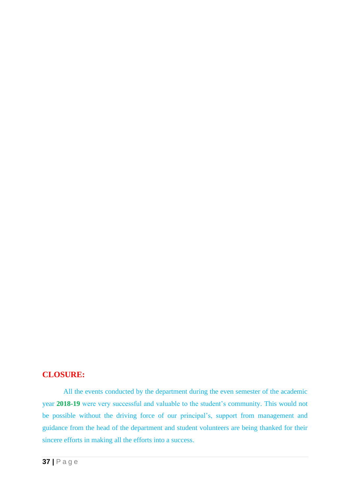#### **CLOSURE:**

All the events conducted by the department during the even semester of the academic year **2018-19** were very successful and valuable to the student's community. This would not be possible without the driving force of our principal's, support from management and guidance from the head of the department and student volunteers are being thanked for their sincere efforts in making all the efforts into a success.